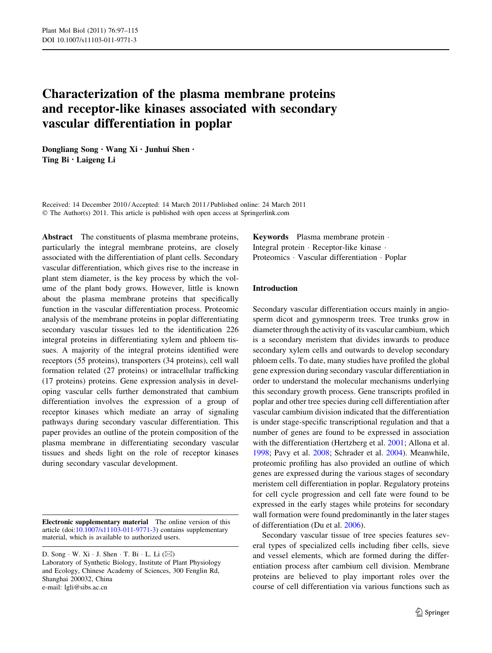# Characterization of the plasma membrane proteins and receptor-like kinases associated with secondary vascular differentiation in poplar

Dongliang Song • Wang Xi • Junhui Shen • Ting Bi • Laigeng Li

Received: 14 December 2010 / Accepted: 14 March 2011 / Published online: 24 March 2011 © The Author(s) 2011. This article is published with open access at Springerlink.com

Abstract The constituents of plasma membrane proteins, particularly the integral membrane proteins, are closely associated with the differentiation of plant cells. Secondary vascular differentiation, which gives rise to the increase in plant stem diameter, is the key process by which the volume of the plant body grows. However, little is known about the plasma membrane proteins that specifically function in the vascular differentiation process. Proteomic analysis of the membrane proteins in poplar differentiating secondary vascular tissues led to the identification 226 integral proteins in differentiating xylem and phloem tissues. A majority of the integral proteins identified were receptors (55 proteins), transporters (34 proteins), cell wall formation related (27 proteins) or intracellular trafficking (17 proteins) proteins. Gene expression analysis in developing vascular cells further demonstrated that cambium differentiation involves the expression of a group of receptor kinases which mediate an array of signaling pathways during secondary vascular differentiation. This paper provides an outline of the protein composition of the plasma membrane in differentiating secondary vascular tissues and sheds light on the role of receptor kinases during secondary vascular development.

Electronic supplementary material The online version of this article (doi:[10.1007/s11103-011-9771-3\)](http://dx.doi.org/10.1007/s11103-011-9771-3) contains supplementary material, which is available to authorized users.

D. Song  $\cdot$  W. Xi  $\cdot$  J. Shen  $\cdot$  T. Bi  $\cdot$  L. Li ( $\boxtimes$ ) Laboratory of Synthetic Biology, Institute of Plant Physiology and Ecology, Chinese Academy of Sciences, 300 Fenglin Rd, Shanghai 200032, China e-mail: lgli@sibs.ac.cn

Keywords Plasma membrane protein - Integral protein - Receptor-like kinase - Proteomics · Vascular differentiation · Poplar

## Introduction

Secondary vascular differentiation occurs mainly in angiosperm dicot and gymnosperm trees. Tree trunks grow in diameter through the activity of its vascular cambium, which is a secondary meristem that divides inwards to produce secondary xylem cells and outwards to develop secondary phloem cells. To date, many studies have profiled the global gene expression during secondary vascular differentiation in order to understand the molecular mechanisms underlying this secondary growth process. Gene transcripts profiled in poplar and other tree species during cell differentiation after vascular cambium division indicated that the differentiation is under stage-specific transcriptional regulation and that a number of genes are found to be expressed in association with the differentiation (Hertzberg et al. [2001](#page-17-0); Allona et al. [1998](#page-16-0); Pavy et al. [2008](#page-17-0); Schrader et al. [2004\)](#page-18-0). Meanwhile, proteomic profiling has also provided an outline of which genes are expressed during the various stages of secondary meristem cell differentiation in poplar. Regulatory proteins for cell cycle progression and cell fate were found to be expressed in the early stages while proteins for secondary wall formation were found predominantly in the later stages of differentiation (Du et al. [2006\)](#page-17-0).

Secondary vascular tissue of tree species features several types of specialized cells including fiber cells, sieve and vessel elements, which are formed during the differentiation process after cambium cell division. Membrane proteins are believed to play important roles over the course of cell differentiation via various functions such as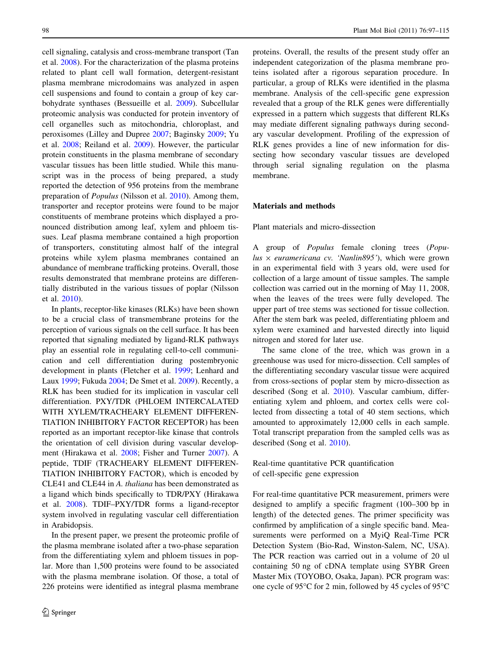cell signaling, catalysis and cross-membrane transport (Tan et al. [2008](#page-18-0)). For the characterization of the plasma proteins related to plant cell wall formation, detergent-resistant plasma membrane microdomains was analyzed in aspen cell suspensions and found to contain a group of key carbohydrate synthases (Bessueille et al. [2009](#page-16-0)). Subcellular proteomic analysis was conducted for protein inventory of cell organelles such as mitochondria, chloroplast, and peroxisomes (Lilley and Dupree [2007;](#page-17-0) Baginsky [2009](#page-16-0); Yu et al. [2008;](#page-18-0) Reiland et al. [2009\)](#page-17-0). However, the particular protein constituents in the plasma membrane of secondary vascular tissues has been little studied. While this manuscript was in the process of being prepared, a study reported the detection of 956 proteins from the membrane preparation of Populus (Nilsson et al. [2010](#page-17-0)). Among them, transporter and receptor proteins were found to be major constituents of membrane proteins which displayed a pronounced distribution among leaf, xylem and phloem tissues. Leaf plasma membrane contained a high proportion of transporters, constituting almost half of the integral proteins while xylem plasma membranes contained an abundance of membrane trafficking proteins. Overall, those results demonstrated that membrane proteins are differentially distributed in the various tissues of poplar (Nilsson et al. [2010\)](#page-17-0).

In plants, receptor-like kinases (RLKs) have been shown to be a crucial class of transmembrane proteins for the perception of various signals on the cell surface. It has been reported that signaling mediated by ligand-RLK pathways play an essential role in regulating cell-to-cell communication and cell differentiation during postembryonic development in plants (Fletcher et al. [1999;](#page-17-0) Lenhard and Laux [1999;](#page-17-0) Fukuda [2004;](#page-17-0) De Smet et al. [2009\)](#page-16-0). Recently, a RLK has been studied for its implication in vascular cell differentiation. PXY/TDR (PHLOEM INTERCALATED WITH XYLEM/TRACHEARY ELEMENT DIFFEREN-TIATION INHIBITORY FACTOR RECEPTOR) has been reported as an important receptor-like kinase that controls the orientation of cell division during vascular development (Hirakawa et al. [2008;](#page-17-0) Fisher and Turner [2007](#page-17-0)). A peptide, TDIF (TRACHEARY ELEMENT DIFFEREN-TIATION INHIBITORY FACTOR), which is encoded by CLE41 and CLE44 in A. thaliana has been demonstrated as a ligand which binds specifically to TDR/PXY (Hirakawa et al. [2008](#page-17-0)). TDIF–PXY/TDR forms a ligand-receptor system involved in regulating vascular cell differentiation in Arabidopsis.

In the present paper, we present the proteomic profile of the plasma membrane isolated after a two-phase separation from the differentiating xylem and phloem tissues in poplar. More than 1,500 proteins were found to be associated with the plasma membrane isolation. Of those, a total of 226 proteins were identified as integral plasma membrane proteins. Overall, the results of the present study offer an independent categorization of the plasma membrane proteins isolated after a rigorous separation procedure. In particular, a group of RLKs were identified in the plasma membrane. Analysis of the cell-specific gene expression revealed that a group of the RLK genes were differentially expressed in a pattern which suggests that different RLKs may mediate different signaling pathways during secondary vascular development. Profiling of the expression of RLK genes provides a line of new information for dissecting how secondary vascular tissues are developed through serial signaling regulation on the plasma membrane.

#### Materials and methods

Plant materials and micro-dissection

A group of Populus female cloning trees (Populus  $\times$  euramericana cv. 'Nanlin895'), which were grown in an experimental field with 3 years old, were used for collection of a large amount of tissue samples. The sample collection was carried out in the morning of May 11, 2008, when the leaves of the trees were fully developed. The upper part of tree stems was sectioned for tissue collection. After the stem bark was peeled, differentiating phloem and xylem were examined and harvested directly into liquid nitrogen and stored for later use.

The same clone of the tree, which was grown in a greenhouse was used for micro-dissection. Cell samples of the differentiating secondary vascular tissue were acquired from cross-sections of poplar stem by micro-dissection as described (Song et al. [2010\)](#page-18-0). Vascular cambium, differentiating xylem and phloem, and cortex cells were collected from dissecting a total of 40 stem sections, which amounted to approximately 12,000 cells in each sample. Total transcript preparation from the sampled cells was as described (Song et al. [2010\)](#page-18-0).

Real-time quantitative PCR quantification of cell-specific gene expression

For real-time quantitative PCR measurement, primers were designed to amplify a specific fragment (100–300 bp in length) of the detected genes. The primer specificity was confirmed by amplification of a single specific band. Measurements were performed on a MyiQ Real-Time PCR Detection System (Bio-Rad, Winston-Salem, NC, USA). The PCR reaction was carried out in a volume of 20 ul containing 50 ng of cDNA template using SYBR Green Master Mix (TOYOBO, Osaka, Japan). PCR program was: one cycle of 95 $\degree$ C for 2 min, followed by 45 cycles of 95 $\degree$ C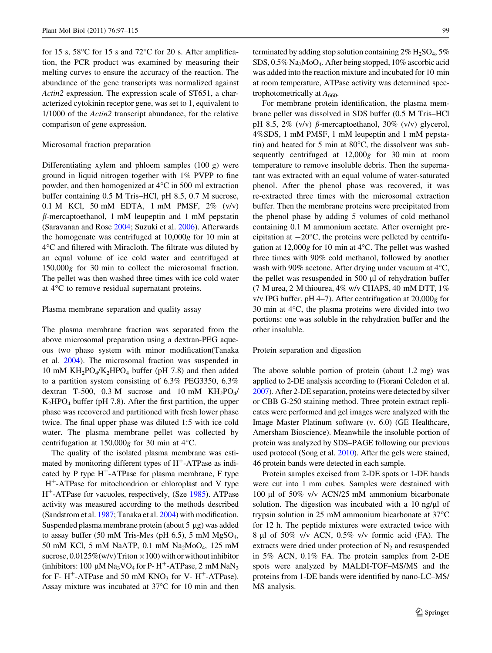for 15 s,  $58^{\circ}$ C for 15 s and  $72^{\circ}$ C for 20 s. After amplification, the PCR product was examined by measuring their melting curves to ensure the accuracy of the reaction. The abundance of the gene transcripts was normalized against Actin2 expression. The expression scale of ST651, a characterized cytokinin receptor gene, was set to 1, equivalent to 1/1000 of the Actin2 transcript abundance, for the relative comparison of gene expression.

#### Microsomal fraction preparation

Differentiating xylem and phloem samples (100 g) were ground in liquid nitrogen together with 1% PVPP to fine powder, and then homogenized at  $4^{\circ}$ C in 500 ml extraction buffer containing 0.5 M Tris–HCl, pH 8.5, 0.7 M sucrose, 0.1 M KCl, 50 mM EDTA, 1 mM PMSF, 2% (v/v)  $\beta$ -mercaptoethanol, 1 mM leupeptin and 1 mM pepstatin (Saravanan and Rose [2004](#page-18-0); Suzuki et al. [2006\)](#page-18-0). Afterwards the homogenate was centrifuged at 10,000g for 10 min at 4C and filtered with Miracloth. The filtrate was diluted by an equal volume of ice cold water and centrifuged at 150,000g for 30 min to collect the microsomal fraction. The pellet was then washed three times with ice cold water at  $4^{\circ}$ C to remove residual supernatant proteins.

#### Plasma membrane separation and quality assay

The plasma membrane fraction was separated from the above microsomal preparation using a dextran-PEG aqueous two phase system with minor modification(Tanaka et al. [2004](#page-18-0)). The microsomal fraction was suspended in 10 mM  $KH_2PO_4/K_2HPO_4$  buffer (pH 7.8) and then added to a partition system consisting of 6.3% PEG3350, 6.3% dextran T-500, 0.3 M sucrose and 10 mM  $KH_2PO_4/$  $K_2HPO_4$  buffer (pH 7.8). After the first partition, the upper phase was recovered and partitioned with fresh lower phase twice. The final upper phase was diluted 1:5 with ice cold water. The plasma membrane pellet was collected by centrifugation at  $150,000g$  for 30 min at 4 $\degree$ C.

The quality of the isolated plasma membrane was estimated by monitoring different types of  $H^+$ -ATPase as indicated by P type  $H^+$ -ATPase for plasma membrane, F type  $H^+$ -ATPase for mitochondrion or chloroplast and V type H?-ATPase for vacuoles, respectively, (Sze [1985](#page-18-0)). ATPase activity was measured according to the methods described (Sandstrom et al. [1987;](#page-18-0) Tanaka et al. [2004\)](#page-18-0) with modification. Suspended plasma membrane protein (about  $5 \mu g$ ) was added to assay buffer (50 mM Tris-Mes (pH 6.5), 5 mM MgSO<sub>4</sub>, 50 mM KCl, 5 mM NaATP, 0.1 mM Na<sub>2</sub>MoO<sub>4</sub>, 125 mM sucrose,  $0.0125\%$ (w/v) Triton  $\times100$ ) with or without inhibitor (inhibitors: 100  $\mu$ M Na<sub>3</sub>VO<sub>4</sub> for P- H<sup>+</sup>-ATPase, 2 mM NaN<sub>3</sub> for F- H<sup>+</sup>-ATPase and 50 mM KNO<sub>3</sub> for V- H<sup>+</sup>-ATPase). Assay mixture was incubated at  $37^{\circ}$ C for 10 min and then terminated by adding stop solution containing  $2\%$  H<sub>2</sub>SO<sub>4</sub>, 5% SDS, 0.5% Na2MoO4. After being stopped, 10% ascorbic acid was added into the reaction mixture and incubated for 10 min at room temperature, ATPase activity was determined spectrophotometrically at  $A_{660}$ .

For membrane protein identification, the plasma membrane pellet was dissolved in SDS buffer (0.5 M Tris–HCl pH 8.5, 2% (v/v)  $\beta$ -mercaptoethanol, 30% (v/v) glycerol, 4%SDS, 1 mM PMSF, 1 mM leupeptin and 1 mM pepstatin) and heated for 5 min at  $80^{\circ}$ C, the dissolvent was subsequently centrifuged at 12,000g for 30 min at room temperature to remove insoluble debris. Then the supernatant was extracted with an equal volume of water-saturated phenol. After the phenol phase was recovered, it was re-extracted three times with the microsomal extraction buffer. Then the membrane proteins were precipitated from the phenol phase by adding 5 volumes of cold methanol containing 0.1 M ammonium acetate. After overnight precipitation at  $-20^{\circ}$ C, the proteins were pelleted by centrifugation at  $12,000g$  for 10 min at  $4^{\circ}$ C. The pellet was washed three times with 90% cold methanol, followed by another wash with 90% acetone. After drying under vacuum at  $4^{\circ}C$ , the pellet was resuspended in  $500 \mu l$  of rehydration buffer (7 M urea, 2 M thiourea, 4% w/v CHAPS, 40 mM DTT, 1% v/v IPG buffer, pH 4–7). After centrifugation at 20,000g for 30 min at  $4^{\circ}$ C, the plasma proteins were divided into two portions: one was soluble in the rehydration buffer and the other insoluble.

#### Protein separation and digestion

The above soluble portion of protein (about 1.2 mg) was applied to 2-DE analysis according to (Fiorani Celedon et al. [2007\)](#page-17-0). After 2-DE separation, proteins were detected by silver or CBB G-250 staining method. Three protein extract replicates were performed and gel images were analyzed with the Image Master Platinum software (v. 6.0) (GE Healthcare, Amersham Bioscience). Meanwhile the insoluble portion of protein was analyzed by SDS–PAGE following our previous used protocol (Song et al. [2010\)](#page-18-0). After the gels were stained, 46 protein bands were detected in each sample.

Protein samples excised from 2-DE spots or 1-DE bands were cut into 1 mm cubes. Samples were destained with 100 ll of 50% v/v ACN/25 mM ammonium bicarbonate solution. The digestion was incubated with a  $10$  ng/ $\mu$ l of trypsin solution in 25 mM ammonium bicarbonate at  $37^{\circ}$ C for 12 h. The peptide mixtures were extracted twice with 8 ll of 50% v/v ACN, 0.5% v/v formic acid (FA). The extracts were dried under protection of  $N_2$  and resuspended in 5% ACN, 0.1% FA. The protein samples from 2-DE spots were analyzed by MALDI-TOF–MS/MS and the proteins from 1-DE bands were identified by nano-LC–MS/ MS analysis.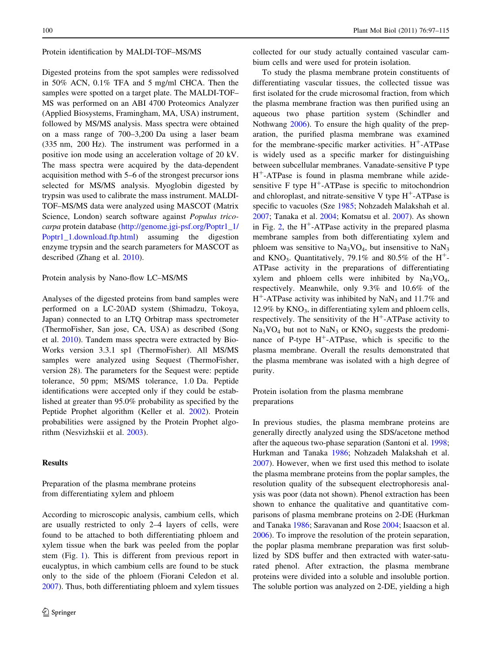#### Protein identification by MALDI-TOF–MS/MS

Digested proteins from the spot samples were redissolved in 50% ACN, 0.1% TFA and 5 mg/ml CHCA. Then the samples were spotted on a target plate. The MALDI-TOF– MS was performed on an ABI 4700 Proteomics Analyzer (Applied Biosystems, Framingham, MA, USA) instrument, followed by MS/MS analysis. Mass spectra were obtained on a mass range of 700–3,200 Da using a laser beam (335 nm, 200 Hz). The instrument was performed in a positive ion mode using an acceleration voltage of 20 kV. The mass spectra were acquired by the data-dependent acquisition method with 5–6 of the strongest precursor ions selected for MS/MS analysis. Myoglobin digested by trypsin was used to calibrate the mass instrument. MALDI-TOF–MS/MS data were analyzed using MASCOT (Matrix Science, London) search software against Populus tricocarpa protein database ([http://genome.jgi-psf.org/Poptr1\\_1/](http://genome.jgi-psf.org/Poptr1_1/Poptr1_1.download.ftp.html) [Poptr1\\_1.download.ftp.html](http://genome.jgi-psf.org/Poptr1_1/Poptr1_1.download.ftp.html)) assuming the digestion enzyme trypsin and the search parameters for MASCOT as described (Zhang et al. [2010\)](#page-18-0).

## Protein analysis by Nano-flow LC–MS/MS

Analyses of the digested proteins from band samples were performed on a LC-20AD system (Shimadzu, Tokoya, Japan) connected to an LTQ Orbitrap mass spectrometer (ThermoFisher, San jose, CA, USA) as described (Song et al. [2010\)](#page-18-0). Tandem mass spectra were extracted by Bio-Works version 3.3.1 sp1 (ThermoFisher). All MS/MS samples were analyzed using Sequest (ThermoFisher, version 28). The parameters for the Sequest were: peptide tolerance, 50 ppm; MS/MS tolerance, 1.0 Da. Peptide identifications were accepted only if they could be established at greater than 95.0% probability as specified by the Peptide Prophet algorithm (Keller et al. [2002\)](#page-17-0). Protein probabilities were assigned by the Protein Prophet algorithm (Nesvizhskii et al. [2003\)](#page-17-0).

#### Results

Preparation of the plasma membrane proteins from differentiating xylem and phloem

According to microscopic analysis, cambium cells, which are usually restricted to only 2–4 layers of cells, were found to be attached to both differentiating phloem and xylem tissue when the bark was peeled from the poplar stem (Fig. [1\)](#page-4-0). This is different from previous report in eucalyptus, in which cambium cells are found to be stuck only to the side of the phloem (Fiorani Celedon et al. [2007\)](#page-17-0). Thus, both differentiating phloem and xylem tissues collected for our study actually contained vascular cambium cells and were used for protein isolation.

To study the plasma membrane protein constituents of differentiating vascular tissues, the collected tissue was first isolated for the crude microsomal fraction, from which the plasma membrane fraction was then purified using an aqueous two phase partition system (Schindler and Nothwang [2006](#page-18-0)). To ensure the high quality of the preparation, the purified plasma membrane was examined for the membrane-specific marker activities.  $H^+$ -ATPase is widely used as a specific marker for distinguishing between subcellular membranes. Vanadate-sensitive P type H?-ATPase is found in plasma membrane while azidesensitive F type  $H^+$ -ATPase is specific to mitochondrion and chloroplast, and nitrate-sensitive V type  $H^+$ -ATPase is specific to vacuoles (Sze [1985;](#page-18-0) Nohzadeh Malakshah et al. [2007](#page-17-0); Tanaka et al. [2004](#page-18-0); Komatsu et al. [2007](#page-17-0)). As shown in Fig. [2,](#page-4-0) the  $H^+$ -ATPase activity in the prepared plasma membrane samples from both differentiating xylem and phloem was sensitive to  $Na<sub>3</sub>VO<sub>4</sub>$ , but insensitive to  $Na<sub>3</sub>$ and KNO<sub>3</sub>. Quantitatively, 79.1% and 80.5% of the H<sup>+</sup>-ATPase activity in the preparations of differentiating xylem and phloem cells were inhibited by  $Na<sub>3</sub>VO<sub>4</sub>$ , respectively. Meanwhile, only 9.3% and 10.6% of the  $H^+$ -ATPase activity was inhibited by NaN<sub>3</sub> and 11.7% and 12.9% by  $KNO_3$ , in differentiating xylem and phloem cells, respectively. The sensitivity of the  $H^+$ -ATPase activity to  $Na<sub>3</sub>VO<sub>4</sub>$  but not to  $Na<sub>3</sub>$  or  $KNO<sub>3</sub>$  suggests the predominance of P-type  $H^+$ -ATPase, which is specific to the plasma membrane. Overall the results demonstrated that the plasma membrane was isolated with a high degree of purity.

Protein isolation from the plasma membrane preparations

In previous studies, the plasma membrane proteins are generally directly analyzed using the SDS/acetone method after the aqueous two-phase separation (Santoni et al. [1998](#page-18-0); Hurkman and Tanaka [1986;](#page-17-0) Nohzadeh Malakshah et al. [2007](#page-17-0)). However, when we first used this method to isolate the plasma membrane proteins from the poplar samples, the resolution quality of the subsequent electrophoresis analysis was poor (data not shown). Phenol extraction has been shown to enhance the qualitative and quantitative comparisons of plasma membrane proteins on 2-DE (Hurkman and Tanaka [1986;](#page-17-0) Saravanan and Rose [2004;](#page-18-0) Isaacson et al. [2006](#page-17-0)). To improve the resolution of the protein separation, the poplar plasma membrane preparation was first solublized by SDS buffer and then extracted with water-saturated phenol. After extraction, the plasma membrane proteins were divided into a soluble and insoluble portion. The soluble portion was analyzed on 2-DE, yielding a high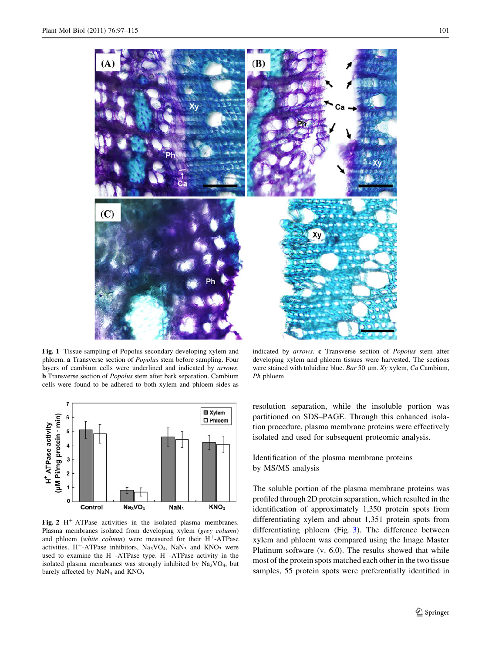<span id="page-4-0"></span>

Fig. 1 Tissue sampling of Popolus secondary developing xylem and phloem. a Transverse section of Popolus stem before sampling. Four layers of cambium cells were underlined and indicated by arrows. **b** Transverse section of *Popolus* stem after bark separation. Cambium cells were found to be adhered to both xylem and phloem sides as



Fig. 2  $H^+$ -ATPase activities in the isolated plasma membranes. Plasma membranes isolated from developing xylem (grey column) and phloem (white column) were measured for their  $H^+$ -ATPase activities. H<sup>+</sup>-ATPase inhibitors,  $Na<sub>3</sub>VO<sub>4</sub>$ ,  $Na<sub>3</sub>$  and  $KNO<sub>3</sub>$  were used to examine the  $H^+$ -ATPase type.  $H^+$ -ATPase activity in the isolated plasma membranes was strongly inhibited by  $Na<sub>3</sub>VO<sub>4</sub>$ , but barely affected by  $\text{NaN}_3$  and  $\text{KNO}_3$ 

indicated by arrows. c Transverse section of Popolus stem after developing xylem and phloem tissues were harvested. The sections were stained with toluidine blue. Bar 50  $\mu$ m. Xy xylem, Ca Cambium, Ph phloem

resolution separation, while the insoluble portion was partitioned on SDS–PAGE. Through this enhanced isolation procedure, plasma membrane proteins were effectively isolated and used for subsequent proteomic analysis.

Identification of the plasma membrane proteins by MS/MS analysis

The soluble portion of the plasma membrane proteins was profiled through 2D protein separation, which resulted in the identification of approximately 1,350 protein spots from differentiating xylem and about 1,351 protein spots from differentiating phloem (Fig. [3](#page-5-0)). The difference between xylem and phloem was compared using the Image Master Platinum software (v. 6.0). The results showed that while most of the protein spots matched each other in the two tissue samples, 55 protein spots were preferentially identified in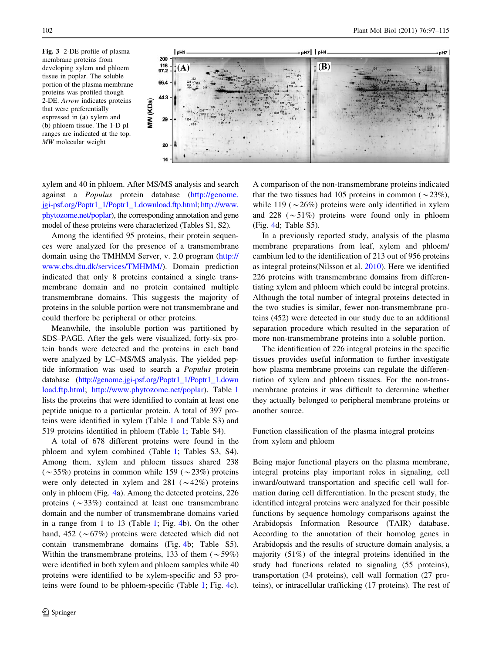<span id="page-5-0"></span>Fig. 3 2-DE profile of plasma membrane proteins from developing xylem and phloem tissue in poplar. The soluble portion of the plasma membrane proteins was profiled though 2-DE. Arrow indicates proteins that were preferentially expressed in (a) xylem and (b) phloem tissue. The 1-D pI ranges are indicated at the top. MW molecular weight



xylem and 40 in phloem. After MS/MS analysis and search against a Populus protein database ([http://genome.](http://genome.jgi-psf.org/Poptr1_1/Poptr1_1.download.ftp.html) [jgi-psf.org/Poptr1\\_1/Poptr1\\_1.download.ftp.html;](http://genome.jgi-psf.org/Poptr1_1/Poptr1_1.download.ftp.html) [http://www.](http://www.phytozome.net/poplar) [phytozome.net/poplar\)](http://www.phytozome.net/poplar), the corresponding annotation and gene model of these proteins were characterized (Tables S1, S2).

Among the identified 95 proteins, their protein sequences were analyzed for the presence of a transmembrane domain using the TMHMM Server, v. 2.0 program [\(http://](http://www.cbs.dtu.dk/services/TMHMM/) [www.cbs.dtu.dk/services/TMHMM/\)](http://www.cbs.dtu.dk/services/TMHMM/). Domain prediction indicated that only 8 proteins contained a single transmembrane domain and no protein contained multiple transmembrane domains. This suggests the majority of proteins in the soluble portion were not transmembrane and could therfore be peripheral or other proteins.

Meanwhile, the insoluble portion was partitioned by SDS–PAGE. After the gels were visualized, forty-six protein bands were detected and the proteins in each band were analyzed by LC–MS/MS analysis. The yielded peptide information was used to search a Populus protein database [\(http://genome.jgi-psf.org/Poptr1\\_1/Poptr1\\_1.down](http://genome.jgi-psf.org/Poptr1_1/Poptr1_1.download.ftp.html) [load.ftp.html;](http://genome.jgi-psf.org/Poptr1_1/Poptr1_1.download.ftp.html) [http://www.phytozome.net/poplar\)](http://www.phytozome.net/poplar). Table [1](#page-6-0) lists the proteins that were identified to contain at least one peptide unique to a particular protein. A total of 397 proteins were identified in xylem (Table [1](#page-6-0) and Table S3) and 519 proteins identified in phloem (Table [1](#page-6-0); Table S4).

A total of 678 different proteins were found in the phloem and xylem combined (Table [1;](#page-6-0) Tables S3, S4). Among them, xylem and phloem tissues shared 238  $(\sim 35\%)$  proteins in common while 159 ( $\sim 23\%$ ) proteins were only detected in xylem and 281 ( $\sim$ 42%) proteins only in phloem (Fig. [4](#page-11-0)a). Among the detected proteins, 226 proteins  $(\sim 33\%)$  contained at least one transmembrane domain and the number of transmembrane domains varied in a range from 1 to 13 (Table [1](#page-6-0); Fig. [4](#page-11-0)b). On the other hand, 452 ( $\sim$  67%) proteins were detected which did not contain transmembrane domains (Fig. [4b](#page-11-0); Table S5). Within the transmembrane proteins, 133 of them  $({\sim}59\%)$ were identified in both xylem and phloem samples while 40 proteins were identified to be xylem-specific and 53 proteins were found to be phloem-specific (Table [1;](#page-6-0) Fig. [4c](#page-11-0)).

A comparison of the non-transmembrane proteins indicated that the two tissues had 105 proteins in common ( $\sim$ 23%), while 119 ( $\sim$ 26%) proteins were only identified in xylem and 228 ( $\sim$  51%) proteins were found only in phloem (Fig. [4d](#page-11-0); Table S5).

In a previously reported study, analysis of the plasma membrane preparations from leaf, xylem and phloem/ cambium led to the identification of 213 out of 956 proteins as integral proteins(Nilsson et al. [2010](#page-17-0)). Here we identified 226 proteins with transmembrane domains from differentiating xylem and phloem which could be integral proteins. Although the total number of integral proteins detected in the two studies is similar, fewer non-transmembrane proteins (452) were detected in our study due to an additional separation procedure which resulted in the separation of more non-transmembrane proteins into a soluble portion.

The identification of 226 integral proteins in the specific tissues provides useful information to further investigate how plasma membrane proteins can regulate the differentiation of xylem and phloem tissues. For the non-transmembrane proteins it was difficult to determine whether they actually belonged to peripheral membrane proteins or another source.

Function classification of the plasma integral proteins from xylem and phloem

Being major functional players on the plasma membrane, integral proteins play important roles in signaling, cell inward/outward transportation and specific cell wall formation during cell differentiation. In the present study, the identified integral proteins were analyzed for their possible functions by sequence homology comparisons against the Arabidopsis Information Resource (TAIR) database. According to the annotation of their homolog genes in Arabidopsis and the results of structure domain analysis, a majority (51%) of the integral proteins identified in the study had functions related to signaling (55 proteins), transportation (34 proteins), cell wall formation (27 proteins), or intracellular trafficking (17 proteins). The rest of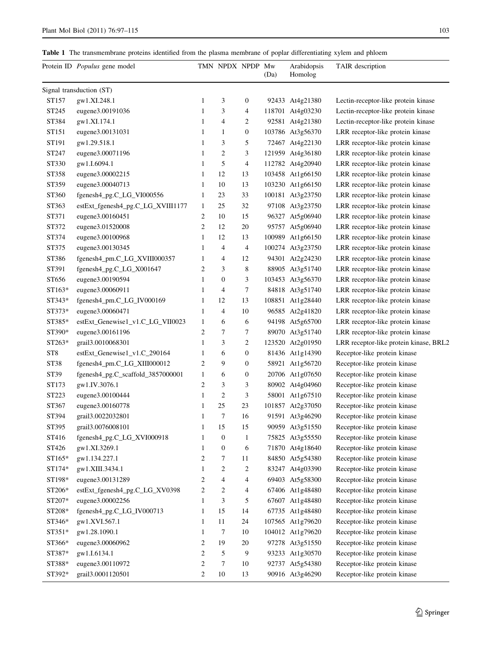<span id="page-6-0"></span>

|  |  |  |  | Table 1 The transmembrane proteins identified from the plasma membrane of poplar differentiating xylem and phloem |
|--|--|--|--|-------------------------------------------------------------------------------------------------------------------|
|--|--|--|--|-------------------------------------------------------------------------------------------------------------------|

|                 | Protein ID Populus gene model     |                | TMN NPDX NPDP Mw |                  | (Da) | Arabidopsis<br>Homolog | TAIR description                       |
|-----------------|-----------------------------------|----------------|------------------|------------------|------|------------------------|----------------------------------------|
|                 | Signal transduction (ST)          |                |                  |                  |      |                        |                                        |
| ST157           | gw1.XI.248.1                      | $\mathbf{1}$   | 3                | 0                |      | 92433 At4g21380        | Lectin-receptor-like protein kinase    |
| ST245           | eugene3.00191036                  | $\mathbf{1}$   | 3                | 4                |      | 118701 At4g03230       | Lectin-receptor-like protein kinase    |
| ST384           | gw1.XI.174.1                      | $\mathbf{1}$   | 4                | 2                |      | 92581 At4g21380        | Lectin-receptor-like protein kinase    |
| ST151           | eugene3.00131031                  | $\mathbf{1}$   | $\mathbf{1}$     | $\boldsymbol{0}$ |      | 103786 At3g56370       | LRR receptor-like protein kinase       |
| ST191           | gw1.29.518.1                      | $\mathbf{1}$   | 3                | 5                |      | 72467 At4g22130        | LRR receptor-like protein kinase       |
| ST247           | eugene3.00071196                  | $\mathbf{1}$   | $\overline{2}$   | 3                |      | 121959 At4g36180       | LRR receptor-like protein kinase       |
| ST330           | gw1.I.6094.1                      | 1              | 5                | 4                |      | 112782 At4g20940       | LRR receptor-like protein kinase       |
| ST358           | eugene3.00002215                  | 1              | 12               | 13               |      | 103458 At1g66150       | LRR receptor-like protein kinase       |
| ST359           | eugene3.00040713                  | $\mathbf{1}$   | 10               | 13               |      | 103230 At1g66150       | LRR receptor-like protein kinase       |
| ST360           | fgenesh4_pg.C_LG_VI000556         | $\mathbf{1}$   | 23               | 33               |      | 100181 At3g23750       | LRR receptor-like protein kinase       |
| ST363           | estExt_fgenesh4_pg.C_LG_XVIII1177 | 1              | 25               | 32               |      | 97108 At3g23750        | LRR receptor-like protein kinase       |
| ST371           | eugene3.00160451                  | 2              | 10               | 15               |      | 96327 At5g06940        | LRR receptor-like protein kinase       |
| ST372           | eugene3.01520008                  | $\overline{c}$ | 12               | 20               |      | 95757 At5g06940        | LRR receptor-like protein kinase       |
| ST374           | eugene3.00100968                  | $\mathbf{1}$   | 12               | 13               |      | 100989 At1g66150       | LRR receptor-like protein kinase       |
| ST375           | eugene3.00130345                  | $\mathbf{1}$   | $\overline{4}$   | $\overline{4}$   |      | 100274 At3g23750       | LRR receptor-like protein kinase       |
| ST386           | fgenesh4_pm.C_LG_XVIII000357      | $\mathbf{1}$   | 4                | 12               |      | 94301 At2g24230        | LRR receptor-like protein kinase       |
| ST391           | fgenesh4_pg.C_LG_X001647          | 2              | 3                | 8                |      | 88905 At3g51740        | LRR receptor-like protein kinase       |
| ST656           | eugene3.00190594                  | $\mathbf{1}$   | $\boldsymbol{0}$ | 3                |      | 103453 At3g56370       | LRR receptor-like protein kinase       |
| ST163*          | eugene3.00060911                  | 1              | 4                | 7                |      | 84818 At3g51740        | LRR receptor-like protein kinase       |
| $ST343*$        | fgenesh4_pm.C_LG_IV000169         | 1              | 12               | 13               |      | 108851 At1g28440       | LRR receptor-like protein kinase       |
| ST373*          | eugene3.00060471                  | $\mathbf{1}$   | $\overline{4}$   | 10               |      | 96585 At2g41820        | LRR receptor-like protein kinase       |
| ST385*          | estExt_Genewise1_v1.C_LG_VII0023  | 1              | 6                | 6                |      | 94198 At5g65700        | LRR receptor-like protein kinase       |
| ST390*          | eugene3.00161196                  | 2              | 7                | 7                |      | 89070 At3g51740        | LRR receptor-like protein kinase       |
| ST263*          | grail3.0010068301                 | 1              | 3                | $\overline{c}$   |      | 123520 At2g01950       | LRR receptor-like protein kinase, BRL2 |
| ST <sub>8</sub> | estExt_Genewise1_v1.C_290164      | $\mathbf{1}$   | 6                | $\boldsymbol{0}$ |      | 81436 At1g14390        | Receptor-like protein kinase           |
| ST38            | fgenesh4_pm.C_LG_XIII000012       | 2              | 9                | $\boldsymbol{0}$ |      | 58921 At1g56720        | Receptor-like protein kinase           |
| ST39            | fgenesh4_pg.C_scaffold_3857000001 | $\mathbf{1}$   | 6                | $\boldsymbol{0}$ |      | 20706 At1g07650        | Receptor-like protein kinase           |
| ST173           | gw1.IV.3076.1                     | $\overline{c}$ | 3                | 3                |      | 80902 At4g04960        | Receptor-like protein kinase           |
| ST223           | eugene3.00100444                  | 1              | $\overline{2}$   | 3                |      | 58001 At1g67510        | Receptor-like protein kinase           |
| ST367           | eugene3.00160778                  | 1              | 25               | 23               |      | 101857 At2g37050       | Receptor-like protein kinase           |
| ST394           | grail3.0022032801                 | 1              | 7                | 16               |      | 91591 At3g46290        | Receptor-like protein kinase           |
| ST395           | grail3.0076008101                 | 1              | 15               | 15               |      | 90959 At3g51550        | Receptor-like protein kinase           |
| ST416           | fgenesh4_pg.C_LG_XVI000918        | $\mathbf{1}$   | $\boldsymbol{0}$ | $\mathbf{1}$     |      | 75825 At3g55550        | Receptor-like protein kinase           |
| ST426           | gw1.XI.3269.1                     | 1              | $\boldsymbol{0}$ | 6                |      | 71870 At4g18640        | Receptor-like protein kinase           |
| ST165*          | gw1.134.227.1                     | $\overline{c}$ | 7                | 11               |      | 84850 At5g54380        | Receptor-like protein kinase           |
| ST174*          | gw1.XIII.3434.1                   | 1              | 2                | 2                |      | 83247 At4g03390        | Receptor-like protein kinase           |
| ST198*          | eugene3.00131289                  | 2              | 4                | 4                |      | 69403 At5g58300        | Receptor-like protein kinase           |
| ST206*          | estExt_fgenesh4_pg.C_LG_XV0398    | 2              | $\mathbf{2}$     | 4                |      | 67406 At1g48480        | Receptor-like protein kinase           |
| ST207*          | eugene3.00002256                  | 1              | 3                | 5                |      | 67607 At1g48480        | Receptor-like protein kinase           |
| ST208*          | fgenesh4_pg.C_LG_IV000713         | $\mathbf{1}$   | 15               | 14               |      | 67735 At1g48480        | Receptor-like protein kinase           |
| ST346*          | gw1.XVI.567.1                     | $\mathbf{1}$   | 11               | 24               |      | 107565 At1g79620       | Receptor-like protein kinase           |
| $ST351*$        | gw1.28.1090.1                     | $\mathbf{1}$   | 7                | 10               |      | 104012 At1g79620       | Receptor-like protein kinase           |
| ST366*          | eugene3.00060962                  | 2              | 19               | 20               |      | 97278 At3g51550        | Receptor-like protein kinase           |
| ST387*          | gw1.I.6134.1                      | $\overline{c}$ | 5                | 9                |      | 93233 At1g30570        | Receptor-like protein kinase           |
| ST388*          | eugene3.00110972                  | $\overline{c}$ | 7                | 10               |      | 92737 At5g54380        | Receptor-like protein kinase           |
| ST392*          | grail3.0001120501                 | $\sqrt{2}$     | 10               | 13               |      | 90916 At3g46290        | Receptor-like protein kinase           |
|                 |                                   |                |                  |                  |      |                        |                                        |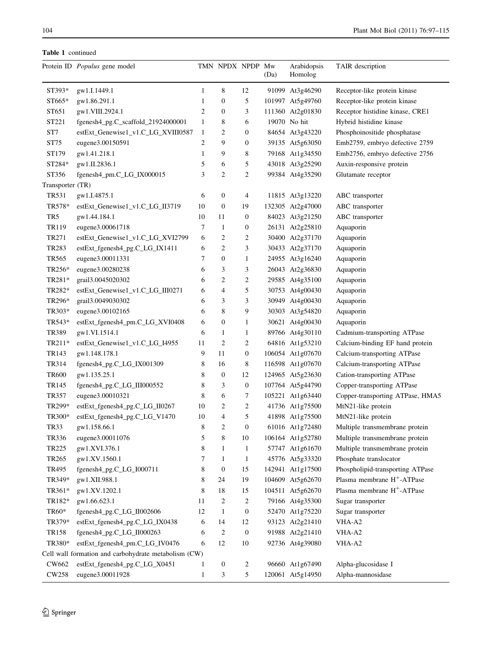Table 1 continued

|                   | Protein ID Populus gene model                        |                | TMN NPDX NPDP Mw       |                  | (Da) | Arabidopsis<br>Homolog | TAIR description                       |
|-------------------|------------------------------------------------------|----------------|------------------------|------------------|------|------------------------|----------------------------------------|
| ST393*            | gw1.I.1449.1                                         | 1              | 8                      | 12               |      | 91099 At3g46290        | Receptor-like protein kinase           |
| ST665*            | gw1.86.291.1                                         | $\mathbf{1}$   | $\boldsymbol{0}$       | 5                |      | 101997 At5g49760       | Receptor-like protein kinase           |
| ST651             | gw1.VIII.2924.1                                      | $\overline{2}$ | $\boldsymbol{0}$       | 3                |      | 111360 At2g01830       | Receptor histidine kinase, CRE1        |
| ST221             | fgenesh4_pg.C_scaffold_21924000001                   | $\mathbf{1}$   | 8                      | 6                |      | 19070 No hit           | Hybrid histidine kinase                |
| ST7               | estExt_Genewise1_v1.C_LG_XVIII0587                   | 1              | $\overline{2}$         | $\boldsymbol{0}$ |      | 84654 At3g43220        | Phosphoinositide phosphatase           |
| ST75              | eugene3.00150591                                     | 2              | 9                      | $\boldsymbol{0}$ |      | 39135 At5g63050        | Emb2759, embryo defective 2759         |
| ST179             | gw1.41.218.1                                         | $\mathbf{1}$   | 9                      | 8                |      | 79168 At1g34550        | Emb2756, embryo defective 2756         |
| ST284*            | gw1.II.2836.1                                        | 5              | 6                      | 5                |      | 43018 At3g25290        | Auxin-responsive protein               |
| ST356             | fgenesh4_pm.C_LG_IX000015                            | 3              | $\overline{2}$         | $\overline{c}$   |      | 99384 At4g35290        | Glutamate receptor                     |
| Transporter (TR)  |                                                      |                |                        |                  |      |                        |                                        |
| <b>TR531</b>      | gw1.I.4875.1                                         | 6              | $\mathbf{0}$           | 4                |      | 11815 At3g13220        | ABC transporter                        |
| TR578*            | estExt_Genewise1_v1.C_LG_II3719                      | 10             | $\boldsymbol{0}$       | 19               |      | 132305 At2g47000       | ABC transporter                        |
| TR <sub>5</sub>   | gw1.44.184.1                                         | 10             | 11                     | $\mathbf{0}$     |      | 84023 At3g21250        | ABC transporter                        |
| TR119             | eugene3.00061718                                     | 7              | $\mathbf{1}$           | $\boldsymbol{0}$ |      | 26131 At2g25810        | Aquaporin                              |
| TR271             | estExt_Genewise1_v1.C_LG_XVI2799                     | 6              | $\overline{2}$         | 2                |      | 30400 At2g37170        | Aquaporin                              |
| TR283             | estExt_fgenesh4_pg.C_LG_IX1411                       | 6              | $\overline{2}$         | 3                |      | 30433 At2g37170        | Aquaporin                              |
| <b>TR565</b>      | eugene3.00011331                                     | 7              | $\mathbf{0}$           | 1                |      | 24955 At3g16240        | Aquaporin                              |
| TR256*            | eugene3.00280238                                     | 6              | 3                      | 3                |      | 26043 At2g36830        | Aquaporin                              |
| TR281*            | grail3.0045020302                                    | 6              | $\overline{2}$         | 2                |      | 29585 At4g35100        | Aquaporin                              |
| TR282*            | estExt_Genewise1_v1.C_LG_III0271                     | 6              | $\overline{4}$         | 5                |      | 30753 At4g00430        | Aquaporin                              |
| TR296*            | grail3.0049030302                                    | 6              | 3                      | 3                |      | 30949 At4g00430        | Aquaporin                              |
| TR303*            | eugene3.00102165                                     | 6              | 8                      | 9                |      | 30303 At3g54820        | Aquaporin                              |
| TR543*            |                                                      | 6              | $\boldsymbol{0}$       | 1                |      | 30621 At4g00430        |                                        |
| TR389             | estExt_fgenesh4_pm.C_LG_XVI0408<br>gw1.VI.1514.1     | 6              | 1                      | 1                |      | 89766 At4g30110        | Aquaporin                              |
| TR211*            | estExt_Genewise1_v1.C_LG_I4955                       | 11             | $\overline{2}$         | 2                |      |                        | Cadmium-transporting ATPase            |
| TR143             |                                                      | 9              | 11                     | $\boldsymbol{0}$ |      | 64816 At1g53210        | Calcium-binding EF hand protein        |
| TR314             | gw1.148.178.1                                        |                |                        |                  |      | 106054 At1g07670       | Calcium-transporting ATPase            |
| <b>TR600</b>      | fgenesh4_pg.C_LG_IX001309                            | 8<br>8         | 16<br>$\boldsymbol{0}$ | 8<br>12          |      | 116598 At1g07670       | Calcium-transporting ATPase            |
|                   | gw1.135.25.1                                         | 8              |                        |                  |      | 124965 At5g23630       | Cation-transporting ATPase             |
| TR145             | fgenesh4_pg.C_LG_III000552                           |                | 3                      | $\boldsymbol{0}$ |      | 107764 At5g44790       | Copper-transporting ATPase             |
| TR357             | eugene3.00010321                                     | 8              | 6                      | 7                |      | 105221 At1g63440       | Copper-transporting ATPase, HMA5       |
| TR299*            | estExt_fgenesh4_pg.C_LG_II0267                       | 10             | $\overline{c}$         | $\overline{c}$   |      | 41736 At1g75500        | MtN21-like protein                     |
| TR300*            | estExt_fgenesh4_pg.C_LG_V1470                        | 10             | 4                      | 5                |      | 41898 At1g75500        | MtN21-like protein                     |
| TR33              | gw1.158.66.1                                         | 8              | $\overline{2}$         | $\overline{0}$   |      | 61016 At1g72480        | Multiple transmembrane protein         |
| TR336             | eugene3.00011076                                     | 5              | 8                      | 10               |      | 106164 At1g52780       | Multiple transmembrane protein         |
| TR225             | gw1.XVI.376.1                                        | 8              | 1                      | 1                |      | 57747 At1g61670        | Multiple transmembrane protein         |
| TR <sub>265</sub> | gw1.XV.1560.1                                        | 7              | $\mathbf{1}$           | $\mathbf{1}$     |      | 45776 At5g33320        | Phosphate translocator                 |
| TR495             | fgenesh4_pg.C_LG_I000711                             | 8              | $\mathbf{0}$           | 15               |      | 142941 At1g17500       | Phospholipid-transporting ATPase       |
| TR349*            | gw1.XII.988.1                                        | 8              | 24                     | 19               |      | 104609 At5g62670       | Plasma membrane H <sup>+</sup> -ATPase |
| TR361*            | gw1.XV.1202.1                                        | 8              | 18                     | 15               |      | 104511 At5g62670       | Plasma membrane H <sup>+</sup> -ATPase |
| TR182*            | gw1.66.623.1                                         | 11             | $\overline{2}$         | 2                |      | 79166 At4g35300        | Sugar transporter                      |
| TR60*             | fgenesh4_pg.C_LG_II002606                            | 12             | $\mathbf{1}$           | $\boldsymbol{0}$ |      | 52470 At1g75220        | Sugar transporter                      |
| TR379*            | estExt_fgenesh4_pg.C_LG_IX0438                       | 6              | 14                     | 12               |      | 93123 At2g21410        | VHA-A2                                 |
| TR158             | fgenesh4_pg.C_LG_II000263                            | 6              | $\overline{2}$         | $\mathbf{0}$     |      | 91988 At2g21410        | VHA-A2                                 |
| TR380*            | estExt_fgenesh4_pm.C_LG_IV0476                       | 6              | 12                     | 10               |      | 92736 At4g39080        | VHA-A2                                 |
|                   | Cell wall formation and carbohydrate metabolism (CW) |                |                        |                  |      |                        |                                        |
| CW662             | estExt_fgenesh4_pg.C_LG_X0451                        | 1              | $\boldsymbol{0}$       | 2                |      | 96660 At1g67490        | Alpha-glucosidase I                    |
| CW258             | eugene3.00011928                                     | 1              | 3                      | 5                |      | 120061 At5g14950       | Alpha-mannosidase                      |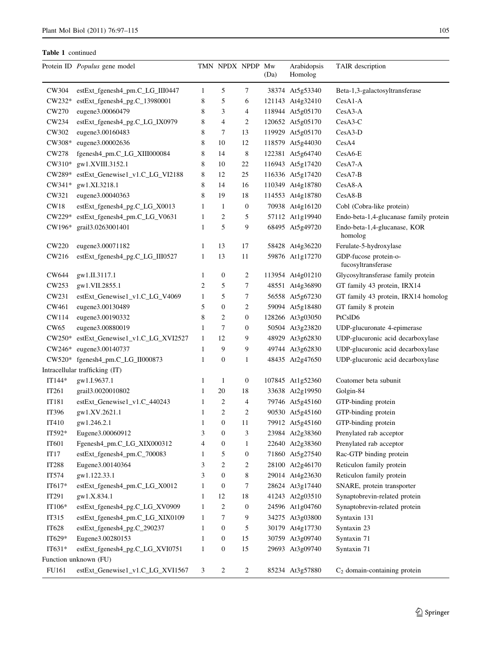| 5<br>CW304<br>estExt_fgenesh4_pm.C_LG_III0447<br>1<br>7<br>38374 At5g53340<br>Beta-1,3-galactosyltransferase<br>5<br>estExt_fgenesh4_pg.C_13980001<br>8<br>$CW232*$<br>6<br>121143 At4g32410<br>$CesA1-A$<br>eugene3.00060479<br>8<br>3<br>4<br>118944 At5g05170<br>CesA3-A<br>CW270<br>$\overline{4}$<br>CW234<br>estExt_fgenesh4_pg.C_LG_IX0979<br>8<br>2<br>120652 At5g05170<br>$CesA3-C$<br>eugene3.00160483<br>8<br>7<br>13<br>119929 At5g05170<br>CW302<br>$CesA3-D$<br>8<br>12<br>118579 At5g44030<br>CW308*<br>eugene3.00002636<br>10<br>CesA4<br>CW278<br>fgenesh4_pm.C_LG_XIII000084<br>8<br>8<br>14<br>122381 At5g64740<br>$CesA6-E$<br>CW310*<br>gw1.XVIII.3152.1<br>8<br>22<br>116943 At5g17420<br>10<br>$CesA7-A$<br>estExt_Genewise1_v1.C_LG_VI2188<br>8<br>12<br>25<br>116336 At5g17420<br>$CesA7-B$<br>CW289*<br>8<br>14<br>16<br>110349 At4g18780<br>CesA8-A<br>$CW341*$<br>gw1.XI.3218.1<br>8<br>19<br>18<br>CesA8-B<br>CW321<br>eugene3.00040363<br>114553 At4g18780<br>CW18<br>$\mathbf{1}$<br>$\mathbf{1}$<br>$\boldsymbol{0}$<br>70938 At4g16120<br>estExt_fgenesh4_pg.C_LG_X0013<br>Cobl (Cobra-like protein)<br>CW229*<br>estExt_fgenesh4_pm.C_LG_V0631<br>$\mathbf{1}$<br>2<br>5<br>57112 At1g19940<br>Endo-beta-1,4-glucanase family protein<br>5<br>9<br>CW196*<br>grail3.0263001401<br>1<br>68495 At5g49720<br>Endo-beta-1,4-glucanase, KOR<br>homolog<br><b>CW220</b><br>Ferulate-5-hydroxylase<br>eugene3.00071182<br>1<br>13<br>17<br>58428 At4g36220<br>CW216<br>estExt_fgenesh4_pg.C_LG_III0527<br>13<br>11<br>GDP-fucose protein-o-<br>1<br>59876 At1g17270<br>fucosyltransferase<br>$\mathbf{1}$<br>2<br>113954 At4g01210<br>Glycosyltransferase family protein<br>CW644<br>gw1.II.3117.1<br>0<br>$\overline{c}$<br>5<br>7<br>CW253<br>GT family 43 protein, IRX14<br>gw1.VII.2855.1<br>48551 At4g36890<br>5<br>CW231<br>$\mathbf{1}$<br>7<br>56558 At5g67230<br>GT family 43 protein, IRX14 homolog<br>estExt_Genewise1_v1.C_LG_V4069<br>CW461<br>eugene3.00130489<br>5<br>$\mathbf{0}$<br>2<br>59094 At5g18480<br>GT family 8 protein<br>8<br>CW114<br>2<br>$\mathbf{0}$<br>128266 At3g03050<br>PtCslD6<br>eugene3.00190332<br>7<br>1<br>50504 At3g23820<br>CW65<br>eugene3.00880019<br>$\theta$<br>UDP-glucuronate 4-epimerase<br>12<br>9<br>48929 At3g62830<br>UDP-glucuronic acid decarboxylase<br>estExt_Genewise1_v1.C_LG_XVI2527<br>1<br>$CW250^*$<br>9<br>9<br>49744 At3g62830<br>UDP-glucuronic acid decarboxylase<br>$CW246*$<br>eugene3.00140737<br>1<br>fgenesh4_pm.C_LG_II000873<br>$\boldsymbol{0}$<br>1<br>48435 At2g47650<br>UDP-glucuronic acid decarboxylase<br>$CW520*$<br>1<br>Intracellular trafficking (IT)<br>$IT144*$<br>gw1.I.9637.1<br>1<br>1<br>$\boldsymbol{0}$<br>107845 At1g52360<br>Coatomer beta subunit<br>IT261<br>grail3.0020010802<br>1<br>20<br>18<br>33638 At2g19950<br>Golgin-84<br>IT181<br>estExt_Genewise1_v1.C_440243<br>2<br>4<br>1<br>79746 At5g45160<br>GTP-binding protein<br>$\overline{2}$<br>$\overline{c}$<br>IT396<br>gw1.XV.2621.1<br>90530 At5g45160<br>GTP-binding protein<br>1<br>$\boldsymbol{0}$<br>gw1.246.2.1<br>$\mathbf{1}$<br>11<br>79912 At5g45160<br>IT410<br>GTP-binding protein<br>Eugene3.00060912<br>3<br>$\boldsymbol{0}$<br>$\mathfrak z$<br>23984 At2g38360<br>IT592*<br>Prenylated rab acceptor<br>IT601<br>Fgenesh4_pm.C_LG_XIX000312<br>4<br>$\boldsymbol{0}$<br>22640 At2g38360<br>Prenylated rab acceptor<br>1<br>IT17<br>estExt_fgenesh4_pm.C_700083<br>5<br>$\boldsymbol{0}$<br>Rac-GTP binding protein<br>71860 At5g27540<br>1<br>$\overline{c}$<br>IT288<br>Eugene3.00140364<br>3<br>2<br>28100 At2g46170<br>Reticulon family protein<br>IT574<br>8<br>gw1.122.33.1<br>3<br>$\mathbf{0}$<br>29014 At4g23630<br>Reticulon family protein<br>IT617*<br>estExt_fgenesh4_pm.C_LG_X0012<br>SNARE, protein transporter<br>1<br>$\boldsymbol{0}$<br>7<br>28624 At3g17440<br>IT291<br>gw1.X.834.1<br>$\mathbf{1}$<br>12<br>18<br>41243 At2g03510<br>Synaptobrevin-related protein<br>estExt_fgenesh4_pg.C_LG_XV0909<br>$\mathbf{1}$<br>$\overline{c}$<br>IT106*<br>$\boldsymbol{0}$<br>24596 At1g04760<br>Synaptobrevin-related protein<br>7<br>9<br>IT315<br>estExt_fgenesh4_pm.C_LG_XIX0109<br>$\mathbf{1}$<br>34275 At3g03800<br>Syntaxin 131<br>IT628<br>estExt_fgenesh4_pg.C_290237<br>$\mathbf{1}$<br>$\boldsymbol{0}$<br>5<br>30179 At4g17730<br>Syntaxin 23<br>Eugene3.00280153<br>IT629*<br>$\mathbf{1}$<br>$\boldsymbol{0}$<br>15<br>30759 At3g09740<br>Syntaxin 71<br>IT631*<br>estExt_fgenesh4_pg.C_LG_XVI0751<br>1<br>$\boldsymbol{0}$<br>15<br>29693 At3g09740<br>Syntaxin 71<br>Function unknown (FU)<br>FU161<br>estExt_Genewise1_v1.C_LG_XVI1567<br>3<br>2<br>$\overline{c}$<br>$C_2$ domain-containing protein<br>85234 At3g57880 | Protein ID Populus gene model | TMN NPDX NPDP Mw | (Da) | Arabidopsis<br>Homolog | TAIR description |
|-------------------------------------------------------------------------------------------------------------------------------------------------------------------------------------------------------------------------------------------------------------------------------------------------------------------------------------------------------------------------------------------------------------------------------------------------------------------------------------------------------------------------------------------------------------------------------------------------------------------------------------------------------------------------------------------------------------------------------------------------------------------------------------------------------------------------------------------------------------------------------------------------------------------------------------------------------------------------------------------------------------------------------------------------------------------------------------------------------------------------------------------------------------------------------------------------------------------------------------------------------------------------------------------------------------------------------------------------------------------------------------------------------------------------------------------------------------------------------------------------------------------------------------------------------------------------------------------------------------------------------------------------------------------------------------------------------------------------------------------------------------------------------------------------------------------------------------------------------------------------------------------------------------------------------------------------------------------------------------------------------------------------------------------------------------------------------------------------------------------------------------------------------------------------------------------------------------------------------------------------------------------------------------------------------------------------------------------------------------------------------------------------------------------------------------------------------------------------------------------------------------------------------------------------------------------------------------------------------------------------------------------------------------------------------------------------------------------------------------------------------------------------------------------------------------------------------------------------------------------------------------------------------------------------------------------------------------------------------------------------------------------------------------------------------------------------------------------------------------------------------------------------------------------------------------------------------------------------------------------------------------------------------------------------------------------------------------------------------------------------------------------------------------------------------------------------------------------------------------------------------------------------------------------------------------------------------------------------------------------------------------------------------------------------------------------------------------------------------------------------------------------------------------------------------------------------------------------------------------------------------------------------------------------------------------------------------------------------------------------------------------------------------------------------------------------------------------------------------------------------------------------------------------------------------------------------------------------------------------------------------------------------------------------------------------------------------------------------------------------------------------------------------------------------------------------------------------------------------------------------------------------------------------------------------------------------------------------------------------------------------------------------------------------------------------------------------------------------------------------------------------------|-------------------------------|------------------|------|------------------------|------------------|
|                                                                                                                                                                                                                                                                                                                                                                                                                                                                                                                                                                                                                                                                                                                                                                                                                                                                                                                                                                                                                                                                                                                                                                                                                                                                                                                                                                                                                                                                                                                                                                                                                                                                                                                                                                                                                                                                                                                                                                                                                                                                                                                                                                                                                                                                                                                                                                                                                                                                                                                                                                                                                                                                                                                                                                                                                                                                                                                                                                                                                                                                                                                                                                                                                                                                                                                                                                                                                                                                                                                                                                                                                                                                                                                                                                                                                                                                                                                                                                                                                                                                                                                                                                                                                                                                                                                                                                                                                                                                                                                                                                                                                                                                                                                                                                   |                               |                  |      |                        |                  |
|                                                                                                                                                                                                                                                                                                                                                                                                                                                                                                                                                                                                                                                                                                                                                                                                                                                                                                                                                                                                                                                                                                                                                                                                                                                                                                                                                                                                                                                                                                                                                                                                                                                                                                                                                                                                                                                                                                                                                                                                                                                                                                                                                                                                                                                                                                                                                                                                                                                                                                                                                                                                                                                                                                                                                                                                                                                                                                                                                                                                                                                                                                                                                                                                                                                                                                                                                                                                                                                                                                                                                                                                                                                                                                                                                                                                                                                                                                                                                                                                                                                                                                                                                                                                                                                                                                                                                                                                                                                                                                                                                                                                                                                                                                                                                                   |                               |                  |      |                        |                  |
|                                                                                                                                                                                                                                                                                                                                                                                                                                                                                                                                                                                                                                                                                                                                                                                                                                                                                                                                                                                                                                                                                                                                                                                                                                                                                                                                                                                                                                                                                                                                                                                                                                                                                                                                                                                                                                                                                                                                                                                                                                                                                                                                                                                                                                                                                                                                                                                                                                                                                                                                                                                                                                                                                                                                                                                                                                                                                                                                                                                                                                                                                                                                                                                                                                                                                                                                                                                                                                                                                                                                                                                                                                                                                                                                                                                                                                                                                                                                                                                                                                                                                                                                                                                                                                                                                                                                                                                                                                                                                                                                                                                                                                                                                                                                                                   |                               |                  |      |                        |                  |
|                                                                                                                                                                                                                                                                                                                                                                                                                                                                                                                                                                                                                                                                                                                                                                                                                                                                                                                                                                                                                                                                                                                                                                                                                                                                                                                                                                                                                                                                                                                                                                                                                                                                                                                                                                                                                                                                                                                                                                                                                                                                                                                                                                                                                                                                                                                                                                                                                                                                                                                                                                                                                                                                                                                                                                                                                                                                                                                                                                                                                                                                                                                                                                                                                                                                                                                                                                                                                                                                                                                                                                                                                                                                                                                                                                                                                                                                                                                                                                                                                                                                                                                                                                                                                                                                                                                                                                                                                                                                                                                                                                                                                                                                                                                                                                   |                               |                  |      |                        |                  |
|                                                                                                                                                                                                                                                                                                                                                                                                                                                                                                                                                                                                                                                                                                                                                                                                                                                                                                                                                                                                                                                                                                                                                                                                                                                                                                                                                                                                                                                                                                                                                                                                                                                                                                                                                                                                                                                                                                                                                                                                                                                                                                                                                                                                                                                                                                                                                                                                                                                                                                                                                                                                                                                                                                                                                                                                                                                                                                                                                                                                                                                                                                                                                                                                                                                                                                                                                                                                                                                                                                                                                                                                                                                                                                                                                                                                                                                                                                                                                                                                                                                                                                                                                                                                                                                                                                                                                                                                                                                                                                                                                                                                                                                                                                                                                                   |                               |                  |      |                        |                  |
|                                                                                                                                                                                                                                                                                                                                                                                                                                                                                                                                                                                                                                                                                                                                                                                                                                                                                                                                                                                                                                                                                                                                                                                                                                                                                                                                                                                                                                                                                                                                                                                                                                                                                                                                                                                                                                                                                                                                                                                                                                                                                                                                                                                                                                                                                                                                                                                                                                                                                                                                                                                                                                                                                                                                                                                                                                                                                                                                                                                                                                                                                                                                                                                                                                                                                                                                                                                                                                                                                                                                                                                                                                                                                                                                                                                                                                                                                                                                                                                                                                                                                                                                                                                                                                                                                                                                                                                                                                                                                                                                                                                                                                                                                                                                                                   |                               |                  |      |                        |                  |
|                                                                                                                                                                                                                                                                                                                                                                                                                                                                                                                                                                                                                                                                                                                                                                                                                                                                                                                                                                                                                                                                                                                                                                                                                                                                                                                                                                                                                                                                                                                                                                                                                                                                                                                                                                                                                                                                                                                                                                                                                                                                                                                                                                                                                                                                                                                                                                                                                                                                                                                                                                                                                                                                                                                                                                                                                                                                                                                                                                                                                                                                                                                                                                                                                                                                                                                                                                                                                                                                                                                                                                                                                                                                                                                                                                                                                                                                                                                                                                                                                                                                                                                                                                                                                                                                                                                                                                                                                                                                                                                                                                                                                                                                                                                                                                   |                               |                  |      |                        |                  |
|                                                                                                                                                                                                                                                                                                                                                                                                                                                                                                                                                                                                                                                                                                                                                                                                                                                                                                                                                                                                                                                                                                                                                                                                                                                                                                                                                                                                                                                                                                                                                                                                                                                                                                                                                                                                                                                                                                                                                                                                                                                                                                                                                                                                                                                                                                                                                                                                                                                                                                                                                                                                                                                                                                                                                                                                                                                                                                                                                                                                                                                                                                                                                                                                                                                                                                                                                                                                                                                                                                                                                                                                                                                                                                                                                                                                                                                                                                                                                                                                                                                                                                                                                                                                                                                                                                                                                                                                                                                                                                                                                                                                                                                                                                                                                                   |                               |                  |      |                        |                  |
|                                                                                                                                                                                                                                                                                                                                                                                                                                                                                                                                                                                                                                                                                                                                                                                                                                                                                                                                                                                                                                                                                                                                                                                                                                                                                                                                                                                                                                                                                                                                                                                                                                                                                                                                                                                                                                                                                                                                                                                                                                                                                                                                                                                                                                                                                                                                                                                                                                                                                                                                                                                                                                                                                                                                                                                                                                                                                                                                                                                                                                                                                                                                                                                                                                                                                                                                                                                                                                                                                                                                                                                                                                                                                                                                                                                                                                                                                                                                                                                                                                                                                                                                                                                                                                                                                                                                                                                                                                                                                                                                                                                                                                                                                                                                                                   |                               |                  |      |                        |                  |
|                                                                                                                                                                                                                                                                                                                                                                                                                                                                                                                                                                                                                                                                                                                                                                                                                                                                                                                                                                                                                                                                                                                                                                                                                                                                                                                                                                                                                                                                                                                                                                                                                                                                                                                                                                                                                                                                                                                                                                                                                                                                                                                                                                                                                                                                                                                                                                                                                                                                                                                                                                                                                                                                                                                                                                                                                                                                                                                                                                                                                                                                                                                                                                                                                                                                                                                                                                                                                                                                                                                                                                                                                                                                                                                                                                                                                                                                                                                                                                                                                                                                                                                                                                                                                                                                                                                                                                                                                                                                                                                                                                                                                                                                                                                                                                   |                               |                  |      |                        |                  |
|                                                                                                                                                                                                                                                                                                                                                                                                                                                                                                                                                                                                                                                                                                                                                                                                                                                                                                                                                                                                                                                                                                                                                                                                                                                                                                                                                                                                                                                                                                                                                                                                                                                                                                                                                                                                                                                                                                                                                                                                                                                                                                                                                                                                                                                                                                                                                                                                                                                                                                                                                                                                                                                                                                                                                                                                                                                                                                                                                                                                                                                                                                                                                                                                                                                                                                                                                                                                                                                                                                                                                                                                                                                                                                                                                                                                                                                                                                                                                                                                                                                                                                                                                                                                                                                                                                                                                                                                                                                                                                                                                                                                                                                                                                                                                                   |                               |                  |      |                        |                  |
|                                                                                                                                                                                                                                                                                                                                                                                                                                                                                                                                                                                                                                                                                                                                                                                                                                                                                                                                                                                                                                                                                                                                                                                                                                                                                                                                                                                                                                                                                                                                                                                                                                                                                                                                                                                                                                                                                                                                                                                                                                                                                                                                                                                                                                                                                                                                                                                                                                                                                                                                                                                                                                                                                                                                                                                                                                                                                                                                                                                                                                                                                                                                                                                                                                                                                                                                                                                                                                                                                                                                                                                                                                                                                                                                                                                                                                                                                                                                                                                                                                                                                                                                                                                                                                                                                                                                                                                                                                                                                                                                                                                                                                                                                                                                                                   |                               |                  |      |                        |                  |
|                                                                                                                                                                                                                                                                                                                                                                                                                                                                                                                                                                                                                                                                                                                                                                                                                                                                                                                                                                                                                                                                                                                                                                                                                                                                                                                                                                                                                                                                                                                                                                                                                                                                                                                                                                                                                                                                                                                                                                                                                                                                                                                                                                                                                                                                                                                                                                                                                                                                                                                                                                                                                                                                                                                                                                                                                                                                                                                                                                                                                                                                                                                                                                                                                                                                                                                                                                                                                                                                                                                                                                                                                                                                                                                                                                                                                                                                                                                                                                                                                                                                                                                                                                                                                                                                                                                                                                                                                                                                                                                                                                                                                                                                                                                                                                   |                               |                  |      |                        |                  |
|                                                                                                                                                                                                                                                                                                                                                                                                                                                                                                                                                                                                                                                                                                                                                                                                                                                                                                                                                                                                                                                                                                                                                                                                                                                                                                                                                                                                                                                                                                                                                                                                                                                                                                                                                                                                                                                                                                                                                                                                                                                                                                                                                                                                                                                                                                                                                                                                                                                                                                                                                                                                                                                                                                                                                                                                                                                                                                                                                                                                                                                                                                                                                                                                                                                                                                                                                                                                                                                                                                                                                                                                                                                                                                                                                                                                                                                                                                                                                                                                                                                                                                                                                                                                                                                                                                                                                                                                                                                                                                                                                                                                                                                                                                                                                                   |                               |                  |      |                        |                  |
|                                                                                                                                                                                                                                                                                                                                                                                                                                                                                                                                                                                                                                                                                                                                                                                                                                                                                                                                                                                                                                                                                                                                                                                                                                                                                                                                                                                                                                                                                                                                                                                                                                                                                                                                                                                                                                                                                                                                                                                                                                                                                                                                                                                                                                                                                                                                                                                                                                                                                                                                                                                                                                                                                                                                                                                                                                                                                                                                                                                                                                                                                                                                                                                                                                                                                                                                                                                                                                                                                                                                                                                                                                                                                                                                                                                                                                                                                                                                                                                                                                                                                                                                                                                                                                                                                                                                                                                                                                                                                                                                                                                                                                                                                                                                                                   |                               |                  |      |                        |                  |
|                                                                                                                                                                                                                                                                                                                                                                                                                                                                                                                                                                                                                                                                                                                                                                                                                                                                                                                                                                                                                                                                                                                                                                                                                                                                                                                                                                                                                                                                                                                                                                                                                                                                                                                                                                                                                                                                                                                                                                                                                                                                                                                                                                                                                                                                                                                                                                                                                                                                                                                                                                                                                                                                                                                                                                                                                                                                                                                                                                                                                                                                                                                                                                                                                                                                                                                                                                                                                                                                                                                                                                                                                                                                                                                                                                                                                                                                                                                                                                                                                                                                                                                                                                                                                                                                                                                                                                                                                                                                                                                                                                                                                                                                                                                                                                   |                               |                  |      |                        |                  |
|                                                                                                                                                                                                                                                                                                                                                                                                                                                                                                                                                                                                                                                                                                                                                                                                                                                                                                                                                                                                                                                                                                                                                                                                                                                                                                                                                                                                                                                                                                                                                                                                                                                                                                                                                                                                                                                                                                                                                                                                                                                                                                                                                                                                                                                                                                                                                                                                                                                                                                                                                                                                                                                                                                                                                                                                                                                                                                                                                                                                                                                                                                                                                                                                                                                                                                                                                                                                                                                                                                                                                                                                                                                                                                                                                                                                                                                                                                                                                                                                                                                                                                                                                                                                                                                                                                                                                                                                                                                                                                                                                                                                                                                                                                                                                                   |                               |                  |      |                        |                  |
|                                                                                                                                                                                                                                                                                                                                                                                                                                                                                                                                                                                                                                                                                                                                                                                                                                                                                                                                                                                                                                                                                                                                                                                                                                                                                                                                                                                                                                                                                                                                                                                                                                                                                                                                                                                                                                                                                                                                                                                                                                                                                                                                                                                                                                                                                                                                                                                                                                                                                                                                                                                                                                                                                                                                                                                                                                                                                                                                                                                                                                                                                                                                                                                                                                                                                                                                                                                                                                                                                                                                                                                                                                                                                                                                                                                                                                                                                                                                                                                                                                                                                                                                                                                                                                                                                                                                                                                                                                                                                                                                                                                                                                                                                                                                                                   |                               |                  |      |                        |                  |
|                                                                                                                                                                                                                                                                                                                                                                                                                                                                                                                                                                                                                                                                                                                                                                                                                                                                                                                                                                                                                                                                                                                                                                                                                                                                                                                                                                                                                                                                                                                                                                                                                                                                                                                                                                                                                                                                                                                                                                                                                                                                                                                                                                                                                                                                                                                                                                                                                                                                                                                                                                                                                                                                                                                                                                                                                                                                                                                                                                                                                                                                                                                                                                                                                                                                                                                                                                                                                                                                                                                                                                                                                                                                                                                                                                                                                                                                                                                                                                                                                                                                                                                                                                                                                                                                                                                                                                                                                                                                                                                                                                                                                                                                                                                                                                   |                               |                  |      |                        |                  |
|                                                                                                                                                                                                                                                                                                                                                                                                                                                                                                                                                                                                                                                                                                                                                                                                                                                                                                                                                                                                                                                                                                                                                                                                                                                                                                                                                                                                                                                                                                                                                                                                                                                                                                                                                                                                                                                                                                                                                                                                                                                                                                                                                                                                                                                                                                                                                                                                                                                                                                                                                                                                                                                                                                                                                                                                                                                                                                                                                                                                                                                                                                                                                                                                                                                                                                                                                                                                                                                                                                                                                                                                                                                                                                                                                                                                                                                                                                                                                                                                                                                                                                                                                                                                                                                                                                                                                                                                                                                                                                                                                                                                                                                                                                                                                                   |                               |                  |      |                        |                  |
|                                                                                                                                                                                                                                                                                                                                                                                                                                                                                                                                                                                                                                                                                                                                                                                                                                                                                                                                                                                                                                                                                                                                                                                                                                                                                                                                                                                                                                                                                                                                                                                                                                                                                                                                                                                                                                                                                                                                                                                                                                                                                                                                                                                                                                                                                                                                                                                                                                                                                                                                                                                                                                                                                                                                                                                                                                                                                                                                                                                                                                                                                                                                                                                                                                                                                                                                                                                                                                                                                                                                                                                                                                                                                                                                                                                                                                                                                                                                                                                                                                                                                                                                                                                                                                                                                                                                                                                                                                                                                                                                                                                                                                                                                                                                                                   |                               |                  |      |                        |                  |
|                                                                                                                                                                                                                                                                                                                                                                                                                                                                                                                                                                                                                                                                                                                                                                                                                                                                                                                                                                                                                                                                                                                                                                                                                                                                                                                                                                                                                                                                                                                                                                                                                                                                                                                                                                                                                                                                                                                                                                                                                                                                                                                                                                                                                                                                                                                                                                                                                                                                                                                                                                                                                                                                                                                                                                                                                                                                                                                                                                                                                                                                                                                                                                                                                                                                                                                                                                                                                                                                                                                                                                                                                                                                                                                                                                                                                                                                                                                                                                                                                                                                                                                                                                                                                                                                                                                                                                                                                                                                                                                                                                                                                                                                                                                                                                   |                               |                  |      |                        |                  |
|                                                                                                                                                                                                                                                                                                                                                                                                                                                                                                                                                                                                                                                                                                                                                                                                                                                                                                                                                                                                                                                                                                                                                                                                                                                                                                                                                                                                                                                                                                                                                                                                                                                                                                                                                                                                                                                                                                                                                                                                                                                                                                                                                                                                                                                                                                                                                                                                                                                                                                                                                                                                                                                                                                                                                                                                                                                                                                                                                                                                                                                                                                                                                                                                                                                                                                                                                                                                                                                                                                                                                                                                                                                                                                                                                                                                                                                                                                                                                                                                                                                                                                                                                                                                                                                                                                                                                                                                                                                                                                                                                                                                                                                                                                                                                                   |                               |                  |      |                        |                  |
|                                                                                                                                                                                                                                                                                                                                                                                                                                                                                                                                                                                                                                                                                                                                                                                                                                                                                                                                                                                                                                                                                                                                                                                                                                                                                                                                                                                                                                                                                                                                                                                                                                                                                                                                                                                                                                                                                                                                                                                                                                                                                                                                                                                                                                                                                                                                                                                                                                                                                                                                                                                                                                                                                                                                                                                                                                                                                                                                                                                                                                                                                                                                                                                                                                                                                                                                                                                                                                                                                                                                                                                                                                                                                                                                                                                                                                                                                                                                                                                                                                                                                                                                                                                                                                                                                                                                                                                                                                                                                                                                                                                                                                                                                                                                                                   |                               |                  |      |                        |                  |
|                                                                                                                                                                                                                                                                                                                                                                                                                                                                                                                                                                                                                                                                                                                                                                                                                                                                                                                                                                                                                                                                                                                                                                                                                                                                                                                                                                                                                                                                                                                                                                                                                                                                                                                                                                                                                                                                                                                                                                                                                                                                                                                                                                                                                                                                                                                                                                                                                                                                                                                                                                                                                                                                                                                                                                                                                                                                                                                                                                                                                                                                                                                                                                                                                                                                                                                                                                                                                                                                                                                                                                                                                                                                                                                                                                                                                                                                                                                                                                                                                                                                                                                                                                                                                                                                                                                                                                                                                                                                                                                                                                                                                                                                                                                                                                   |                               |                  |      |                        |                  |
|                                                                                                                                                                                                                                                                                                                                                                                                                                                                                                                                                                                                                                                                                                                                                                                                                                                                                                                                                                                                                                                                                                                                                                                                                                                                                                                                                                                                                                                                                                                                                                                                                                                                                                                                                                                                                                                                                                                                                                                                                                                                                                                                                                                                                                                                                                                                                                                                                                                                                                                                                                                                                                                                                                                                                                                                                                                                                                                                                                                                                                                                                                                                                                                                                                                                                                                                                                                                                                                                                                                                                                                                                                                                                                                                                                                                                                                                                                                                                                                                                                                                                                                                                                                                                                                                                                                                                                                                                                                                                                                                                                                                                                                                                                                                                                   |                               |                  |      |                        |                  |
|                                                                                                                                                                                                                                                                                                                                                                                                                                                                                                                                                                                                                                                                                                                                                                                                                                                                                                                                                                                                                                                                                                                                                                                                                                                                                                                                                                                                                                                                                                                                                                                                                                                                                                                                                                                                                                                                                                                                                                                                                                                                                                                                                                                                                                                                                                                                                                                                                                                                                                                                                                                                                                                                                                                                                                                                                                                                                                                                                                                                                                                                                                                                                                                                                                                                                                                                                                                                                                                                                                                                                                                                                                                                                                                                                                                                                                                                                                                                                                                                                                                                                                                                                                                                                                                                                                                                                                                                                                                                                                                                                                                                                                                                                                                                                                   |                               |                  |      |                        |                  |
|                                                                                                                                                                                                                                                                                                                                                                                                                                                                                                                                                                                                                                                                                                                                                                                                                                                                                                                                                                                                                                                                                                                                                                                                                                                                                                                                                                                                                                                                                                                                                                                                                                                                                                                                                                                                                                                                                                                                                                                                                                                                                                                                                                                                                                                                                                                                                                                                                                                                                                                                                                                                                                                                                                                                                                                                                                                                                                                                                                                                                                                                                                                                                                                                                                                                                                                                                                                                                                                                                                                                                                                                                                                                                                                                                                                                                                                                                                                                                                                                                                                                                                                                                                                                                                                                                                                                                                                                                                                                                                                                                                                                                                                                                                                                                                   |                               |                  |      |                        |                  |
|                                                                                                                                                                                                                                                                                                                                                                                                                                                                                                                                                                                                                                                                                                                                                                                                                                                                                                                                                                                                                                                                                                                                                                                                                                                                                                                                                                                                                                                                                                                                                                                                                                                                                                                                                                                                                                                                                                                                                                                                                                                                                                                                                                                                                                                                                                                                                                                                                                                                                                                                                                                                                                                                                                                                                                                                                                                                                                                                                                                                                                                                                                                                                                                                                                                                                                                                                                                                                                                                                                                                                                                                                                                                                                                                                                                                                                                                                                                                                                                                                                                                                                                                                                                                                                                                                                                                                                                                                                                                                                                                                                                                                                                                                                                                                                   |                               |                  |      |                        |                  |
|                                                                                                                                                                                                                                                                                                                                                                                                                                                                                                                                                                                                                                                                                                                                                                                                                                                                                                                                                                                                                                                                                                                                                                                                                                                                                                                                                                                                                                                                                                                                                                                                                                                                                                                                                                                                                                                                                                                                                                                                                                                                                                                                                                                                                                                                                                                                                                                                                                                                                                                                                                                                                                                                                                                                                                                                                                                                                                                                                                                                                                                                                                                                                                                                                                                                                                                                                                                                                                                                                                                                                                                                                                                                                                                                                                                                                                                                                                                                                                                                                                                                                                                                                                                                                                                                                                                                                                                                                                                                                                                                                                                                                                                                                                                                                                   |                               |                  |      |                        |                  |
|                                                                                                                                                                                                                                                                                                                                                                                                                                                                                                                                                                                                                                                                                                                                                                                                                                                                                                                                                                                                                                                                                                                                                                                                                                                                                                                                                                                                                                                                                                                                                                                                                                                                                                                                                                                                                                                                                                                                                                                                                                                                                                                                                                                                                                                                                                                                                                                                                                                                                                                                                                                                                                                                                                                                                                                                                                                                                                                                                                                                                                                                                                                                                                                                                                                                                                                                                                                                                                                                                                                                                                                                                                                                                                                                                                                                                                                                                                                                                                                                                                                                                                                                                                                                                                                                                                                                                                                                                                                                                                                                                                                                                                                                                                                                                                   |                               |                  |      |                        |                  |
|                                                                                                                                                                                                                                                                                                                                                                                                                                                                                                                                                                                                                                                                                                                                                                                                                                                                                                                                                                                                                                                                                                                                                                                                                                                                                                                                                                                                                                                                                                                                                                                                                                                                                                                                                                                                                                                                                                                                                                                                                                                                                                                                                                                                                                                                                                                                                                                                                                                                                                                                                                                                                                                                                                                                                                                                                                                                                                                                                                                                                                                                                                                                                                                                                                                                                                                                                                                                                                                                                                                                                                                                                                                                                                                                                                                                                                                                                                                                                                                                                                                                                                                                                                                                                                                                                                                                                                                                                                                                                                                                                                                                                                                                                                                                                                   |                               |                  |      |                        |                  |
|                                                                                                                                                                                                                                                                                                                                                                                                                                                                                                                                                                                                                                                                                                                                                                                                                                                                                                                                                                                                                                                                                                                                                                                                                                                                                                                                                                                                                                                                                                                                                                                                                                                                                                                                                                                                                                                                                                                                                                                                                                                                                                                                                                                                                                                                                                                                                                                                                                                                                                                                                                                                                                                                                                                                                                                                                                                                                                                                                                                                                                                                                                                                                                                                                                                                                                                                                                                                                                                                                                                                                                                                                                                                                                                                                                                                                                                                                                                                                                                                                                                                                                                                                                                                                                                                                                                                                                                                                                                                                                                                                                                                                                                                                                                                                                   |                               |                  |      |                        |                  |
|                                                                                                                                                                                                                                                                                                                                                                                                                                                                                                                                                                                                                                                                                                                                                                                                                                                                                                                                                                                                                                                                                                                                                                                                                                                                                                                                                                                                                                                                                                                                                                                                                                                                                                                                                                                                                                                                                                                                                                                                                                                                                                                                                                                                                                                                                                                                                                                                                                                                                                                                                                                                                                                                                                                                                                                                                                                                                                                                                                                                                                                                                                                                                                                                                                                                                                                                                                                                                                                                                                                                                                                                                                                                                                                                                                                                                                                                                                                                                                                                                                                                                                                                                                                                                                                                                                                                                                                                                                                                                                                                                                                                                                                                                                                                                                   |                               |                  |      |                        |                  |
|                                                                                                                                                                                                                                                                                                                                                                                                                                                                                                                                                                                                                                                                                                                                                                                                                                                                                                                                                                                                                                                                                                                                                                                                                                                                                                                                                                                                                                                                                                                                                                                                                                                                                                                                                                                                                                                                                                                                                                                                                                                                                                                                                                                                                                                                                                                                                                                                                                                                                                                                                                                                                                                                                                                                                                                                                                                                                                                                                                                                                                                                                                                                                                                                                                                                                                                                                                                                                                                                                                                                                                                                                                                                                                                                                                                                                                                                                                                                                                                                                                                                                                                                                                                                                                                                                                                                                                                                                                                                                                                                                                                                                                                                                                                                                                   |                               |                  |      |                        |                  |
|                                                                                                                                                                                                                                                                                                                                                                                                                                                                                                                                                                                                                                                                                                                                                                                                                                                                                                                                                                                                                                                                                                                                                                                                                                                                                                                                                                                                                                                                                                                                                                                                                                                                                                                                                                                                                                                                                                                                                                                                                                                                                                                                                                                                                                                                                                                                                                                                                                                                                                                                                                                                                                                                                                                                                                                                                                                                                                                                                                                                                                                                                                                                                                                                                                                                                                                                                                                                                                                                                                                                                                                                                                                                                                                                                                                                                                                                                                                                                                                                                                                                                                                                                                                                                                                                                                                                                                                                                                                                                                                                                                                                                                                                                                                                                                   |                               |                  |      |                        |                  |
|                                                                                                                                                                                                                                                                                                                                                                                                                                                                                                                                                                                                                                                                                                                                                                                                                                                                                                                                                                                                                                                                                                                                                                                                                                                                                                                                                                                                                                                                                                                                                                                                                                                                                                                                                                                                                                                                                                                                                                                                                                                                                                                                                                                                                                                                                                                                                                                                                                                                                                                                                                                                                                                                                                                                                                                                                                                                                                                                                                                                                                                                                                                                                                                                                                                                                                                                                                                                                                                                                                                                                                                                                                                                                                                                                                                                                                                                                                                                                                                                                                                                                                                                                                                                                                                                                                                                                                                                                                                                                                                                                                                                                                                                                                                                                                   |                               |                  |      |                        |                  |
|                                                                                                                                                                                                                                                                                                                                                                                                                                                                                                                                                                                                                                                                                                                                                                                                                                                                                                                                                                                                                                                                                                                                                                                                                                                                                                                                                                                                                                                                                                                                                                                                                                                                                                                                                                                                                                                                                                                                                                                                                                                                                                                                                                                                                                                                                                                                                                                                                                                                                                                                                                                                                                                                                                                                                                                                                                                                                                                                                                                                                                                                                                                                                                                                                                                                                                                                                                                                                                                                                                                                                                                                                                                                                                                                                                                                                                                                                                                                                                                                                                                                                                                                                                                                                                                                                                                                                                                                                                                                                                                                                                                                                                                                                                                                                                   |                               |                  |      |                        |                  |
|                                                                                                                                                                                                                                                                                                                                                                                                                                                                                                                                                                                                                                                                                                                                                                                                                                                                                                                                                                                                                                                                                                                                                                                                                                                                                                                                                                                                                                                                                                                                                                                                                                                                                                                                                                                                                                                                                                                                                                                                                                                                                                                                                                                                                                                                                                                                                                                                                                                                                                                                                                                                                                                                                                                                                                                                                                                                                                                                                                                                                                                                                                                                                                                                                                                                                                                                                                                                                                                                                                                                                                                                                                                                                                                                                                                                                                                                                                                                                                                                                                                                                                                                                                                                                                                                                                                                                                                                                                                                                                                                                                                                                                                                                                                                                                   |                               |                  |      |                        |                  |
|                                                                                                                                                                                                                                                                                                                                                                                                                                                                                                                                                                                                                                                                                                                                                                                                                                                                                                                                                                                                                                                                                                                                                                                                                                                                                                                                                                                                                                                                                                                                                                                                                                                                                                                                                                                                                                                                                                                                                                                                                                                                                                                                                                                                                                                                                                                                                                                                                                                                                                                                                                                                                                                                                                                                                                                                                                                                                                                                                                                                                                                                                                                                                                                                                                                                                                                                                                                                                                                                                                                                                                                                                                                                                                                                                                                                                                                                                                                                                                                                                                                                                                                                                                                                                                                                                                                                                                                                                                                                                                                                                                                                                                                                                                                                                                   |                               |                  |      |                        |                  |
|                                                                                                                                                                                                                                                                                                                                                                                                                                                                                                                                                                                                                                                                                                                                                                                                                                                                                                                                                                                                                                                                                                                                                                                                                                                                                                                                                                                                                                                                                                                                                                                                                                                                                                                                                                                                                                                                                                                                                                                                                                                                                                                                                                                                                                                                                                                                                                                                                                                                                                                                                                                                                                                                                                                                                                                                                                                                                                                                                                                                                                                                                                                                                                                                                                                                                                                                                                                                                                                                                                                                                                                                                                                                                                                                                                                                                                                                                                                                                                                                                                                                                                                                                                                                                                                                                                                                                                                                                                                                                                                                                                                                                                                                                                                                                                   |                               |                  |      |                        |                  |
|                                                                                                                                                                                                                                                                                                                                                                                                                                                                                                                                                                                                                                                                                                                                                                                                                                                                                                                                                                                                                                                                                                                                                                                                                                                                                                                                                                                                                                                                                                                                                                                                                                                                                                                                                                                                                                                                                                                                                                                                                                                                                                                                                                                                                                                                                                                                                                                                                                                                                                                                                                                                                                                                                                                                                                                                                                                                                                                                                                                                                                                                                                                                                                                                                                                                                                                                                                                                                                                                                                                                                                                                                                                                                                                                                                                                                                                                                                                                                                                                                                                                                                                                                                                                                                                                                                                                                                                                                                                                                                                                                                                                                                                                                                                                                                   |                               |                  |      |                        |                  |
|                                                                                                                                                                                                                                                                                                                                                                                                                                                                                                                                                                                                                                                                                                                                                                                                                                                                                                                                                                                                                                                                                                                                                                                                                                                                                                                                                                                                                                                                                                                                                                                                                                                                                                                                                                                                                                                                                                                                                                                                                                                                                                                                                                                                                                                                                                                                                                                                                                                                                                                                                                                                                                                                                                                                                                                                                                                                                                                                                                                                                                                                                                                                                                                                                                                                                                                                                                                                                                                                                                                                                                                                                                                                                                                                                                                                                                                                                                                                                                                                                                                                                                                                                                                                                                                                                                                                                                                                                                                                                                                                                                                                                                                                                                                                                                   |                               |                  |      |                        |                  |
|                                                                                                                                                                                                                                                                                                                                                                                                                                                                                                                                                                                                                                                                                                                                                                                                                                                                                                                                                                                                                                                                                                                                                                                                                                                                                                                                                                                                                                                                                                                                                                                                                                                                                                                                                                                                                                                                                                                                                                                                                                                                                                                                                                                                                                                                                                                                                                                                                                                                                                                                                                                                                                                                                                                                                                                                                                                                                                                                                                                                                                                                                                                                                                                                                                                                                                                                                                                                                                                                                                                                                                                                                                                                                                                                                                                                                                                                                                                                                                                                                                                                                                                                                                                                                                                                                                                                                                                                                                                                                                                                                                                                                                                                                                                                                                   |                               |                  |      |                        |                  |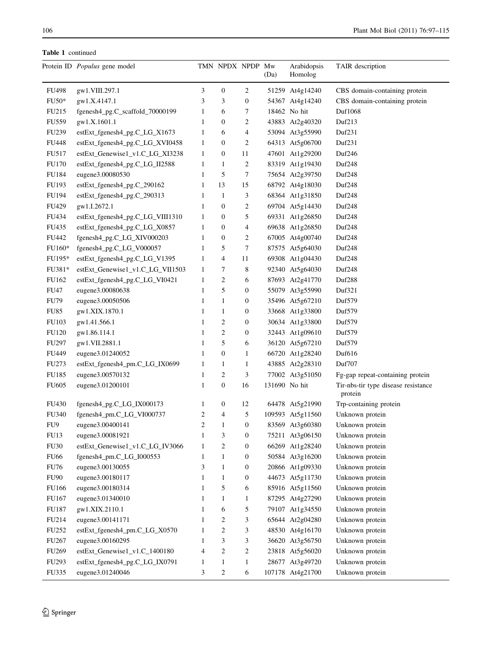|                      | Protein ID Populus gene model    |                | TMN NPDX NPDP Mw |                  | (Da)          | Arabidopsis<br>Homolog | TAIR description                               |
|----------------------|----------------------------------|----------------|------------------|------------------|---------------|------------------------|------------------------------------------------|
| FU498                | gw1.VIII.297.1                   | 3              | $\boldsymbol{0}$ | 2                |               | 51259 At4g14240        | CBS domain-containing protein                  |
| $FU50*$              | gw1.X.4147.1                     | 3              | 3                | $\boldsymbol{0}$ |               | 54367 At4g14240        | CBS domain-containing protein                  |
| FU215                | fgenesh4_pg.C_scaffold_70000199  | 1              | 6                | 7                |               | 18462 No hit           | Duf1068                                        |
| FU559                | gw1.X.1601.1                     | $\mathbf{1}$   | $\boldsymbol{0}$ | 2                |               | 43883 At2g40320        | Duf213                                         |
| FU239                | estExt_fgenesh4_pg.C_LG_X1673    | 1              | 6                | 4                |               | 53094 At3g55990        | Duf <sub>231</sub>                             |
| FU448                | estExt_fgenesh4_pg.C_LG_XVI0458  | 1              | $\overline{0}$   | 2                |               | 64313 At5g06700        | Duf <sub>231</sub>                             |
| FU517                | estExt_Genewise1_v1.C_LG_XI3238  | 1              | $\boldsymbol{0}$ | 11               |               | 47601 At1g29200        | Duf246                                         |
| FU170                | estExt_fgenesh4_pg.C_LG_II2588   | 1              | 1                | $\overline{2}$   |               | 83319 At1g19430        | Duf <sub>248</sub>                             |
| FU184                | eugene3.00080530                 | 1              | 5                | 7                |               | 75654 At2g39750        | Duf <sub>248</sub>                             |
| FU193                | estExt_fgenesh4_pg.C_290162      | 1              | 13               | 15               |               | 68792 At4g18030        | Duf <sub>248</sub>                             |
| FU194                | estExt_fgenesh4_pg.C_290313      | $\mathbf{1}$   | $\mathbf{1}$     | 3                |               | 68364 At1g31850        | Duf <sub>248</sub>                             |
| FU429                | gw1.I.2672.1                     | $\mathbf{1}$   | $\boldsymbol{0}$ | 2                |               | 69704 At5g14430        | Duf <sub>248</sub>                             |
| FU434                | estExt_fgenesh4_pg.C_LG_VIII1310 | $\mathbf{1}$   | $\boldsymbol{0}$ | 5                |               | 69331 At1g26850        | Duf <sub>248</sub>                             |
| FU435                | estExt_fgenesh4_pg.C_LG_X0857    | $\mathbf{1}$   | $\mathbf{0}$     | 4                |               | 69638 At1g26850        | Duf <sub>248</sub>                             |
| FU442                | fgenesh4_pg.C_LG_XIV000203       | 1              | $\boldsymbol{0}$ | $\overline{c}$   |               | 67005 At4g00740        | Duf <sub>248</sub>                             |
| FU160*               | fgenesh4_pg.C_LG_V000057         | 1              | 5                | 7                |               | 87575 At5g64030        | Duf248                                         |
| FU195*               | estExt_fgenesh4_pg.C_LG_V1395    | 1              | 4                | 11               |               | 69308 At1g04430        | Duf248                                         |
| FU381*               | estExt_Genewise1_v1.C_LG_VII1503 | 1              | 7                | 8                |               | 92340 At5g64030        | Duf <sub>248</sub>                             |
| FU162                | estExt_fgenesh4_pg.C_LG_VI0421   | $\mathbf{1}$   | $\overline{c}$   | 6                |               | 87693 At2g41770        | Duf <sub>288</sub>                             |
| <b>FU47</b>          | eugene3.00080638                 | $\mathbf{1}$   | 5                | $\boldsymbol{0}$ |               | 55079 At3g55990        | Duf321                                         |
| <b>FU79</b>          | eugene3.00050506                 | 1              | $\mathbf{1}$     | $\boldsymbol{0}$ |               | 35496 At5g67210        | Duf579                                         |
| <b>FU85</b>          | gw1.XIX.1870.1                   | 1              | $\mathbf{1}$     | 0                |               | 33668 At1g33800        | Duf579                                         |
| FU103                | gw1.41.566.1                     | 1              | $\overline{c}$   | $\boldsymbol{0}$ |               | 30634 At1g33800        | Duf579                                         |
| <b>FU120</b>         | gw1.86.114.1                     | 1              | 2                | $\boldsymbol{0}$ |               | 32443 At1g09610        | Duf579                                         |
| FU297                | gw1.VII.2881.1                   | 1              | 5                | 6                |               | 36120 At5g67210        | Duf579                                         |
| FU449                | eugene3.01240052                 | $\mathbf{1}$   | $\mathbf{0}$     | $\mathbf{1}$     |               | 66720 At1g28240        | Duf616                                         |
| FU273                | estExt_fgenesh4_pm.C_LG_IX0699   | $\mathbf{1}$   | 1                | 1                |               | 43885 At2g28310        | Duf707                                         |
| FU185                | eugene3.00570132                 | $\mathbf{1}$   | 2                | 3                |               | 77002 At3g51050        | Fg-gap repeat-containing protein               |
| FU605                | eugene3.01200101                 | $\mathbf{1}$   | $\boldsymbol{0}$ | 16               | 131690 No hit |                        | Tir-nbs-tir type disease resistance<br>protein |
| <b>FU430</b>         | fgenesh4_pg.C_LG_IX000173        | 1              | 0                | 12               |               | 64478 At5g21990        | Trp-containing protein                         |
| <b>FU340</b>         | fgenesh4_pm.C_LG_VI000737        | 2              | 4                | 5                |               | 109593 At5g11560       | Unknown protein                                |
| FU9                  | eugene3.00400141                 | $\overline{2}$ | 1                | $\boldsymbol{0}$ |               | 83569 At3g60380        | Unknown protein                                |
| FU13                 | eugene3.00081921                 | 1              | 3                | $\boldsymbol{0}$ |               | 75211 At3g06150        | Unknown protein                                |
| ${\rm F} {\rm U} 30$ | estExt_Genewise1_v1.C_LG_IV3066  | $\mathbf{1}$   | 2                | $\boldsymbol{0}$ |               | 66269 At1g28240        | Unknown protein                                |
| <b>FU66</b>          | fgenesh4_pm.C_LG_I000553         | 1              | $\mathbf{1}$     | $\boldsymbol{0}$ |               | 50584 At3g16200        | Unknown protein                                |
| <b>FU76</b>          | eugene3.00130055                 | 3              | $\mathbf{1}$     | $\boldsymbol{0}$ |               | 20866 At1g09330        | Unknown protein                                |
| FU90                 | eugene3.00180117                 | $\mathbf{1}$   | $\mathbf{1}$     | $\boldsymbol{0}$ |               | 44673 At5g11730        | Unknown protein                                |
| <b>FU166</b>         | eugene3.00180314                 | $\mathbf{1}$   | 5                | 6                |               | 85916 At5g11560        | Unknown protein                                |
| FU167                | eugene3.01340010                 | $\mathbf{1}$   | $\mathbf{1}$     | $\mathbf{1}$     |               | 87295 At4g27290        | Unknown protein                                |
| FU187                | gw1.XIX.2110.1                   | 1              | 6                | 5                |               | 79107 At1g34550        | Unknown protein                                |
| FU214                | eugene3.00141171                 | 1              | 2                | 3                |               | 65644 At2g04280        | Unknown protein                                |
| FU252                | estExt_fgenesh4_pm.C_LG_X0570    | 1              | $\overline{c}$   | 3                |               | 48530 At4g16170        | Unknown protein                                |
| <b>FU267</b>         | eugene3.00160295                 | 1              | 3                | 3                |               | 36620 At3g56750        | Unknown protein                                |
| FU <sub>269</sub>    | estExt_Genewise1_v1.C_1400180    | 4              | 2                | $\overline{c}$   |               | 23818 At5g56020        | Unknown protein                                |
| FU293                | estExt_fgenesh4_pg.C_LG_IX0791   | $\mathbf{1}$   | $\mathbf{1}$     | $\mathbf{1}$     |               | 28677 At3g49720        | Unknown protein                                |
| FU335                | eugene3.01240046                 | 3              | $\overline{c}$   | 6                |               | 107178 At4g21700       | Unknown protein                                |
|                      |                                  |                |                  |                  |               |                        |                                                |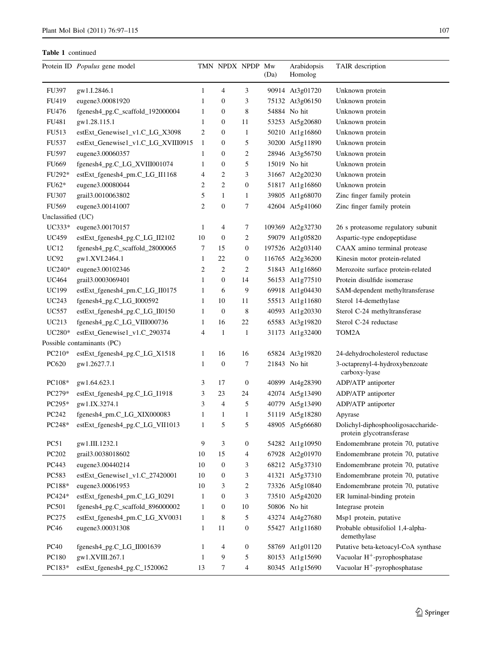|                   | Protein ID Populus gene model      |                | TMN NPDX NPDP Mw |                  | (Da) | Arabidopsis<br>Homolog | TAIR description                                               |
|-------------------|------------------------------------|----------------|------------------|------------------|------|------------------------|----------------------------------------------------------------|
| <b>FU397</b>      | gw1.I.2846.1                       | 1              | 4                | 3                |      | 90914 At3g01720        | Unknown protein                                                |
| FU419             | eugene3.00081920                   | $\mathbf{1}$   | $\boldsymbol{0}$ | 3                |      | 75132 At3g06150        | Unknown protein                                                |
| FU476             | fgenesh4_pg.C_scaffold_192000004   | 1              | $\boldsymbol{0}$ | 8                |      | 54884 No hit           | Unknown protein                                                |
| FU481             | gw1.28.115.1                       | $\mathbf{1}$   | $\boldsymbol{0}$ | 11               |      | 53253 At5g20680        | Unknown protein                                                |
| FU513             | estExt_Genewise1_v1.C_LG_X3098     | $\overline{2}$ | $\mathbf{0}$     | $\mathbf{1}$     |      | 50210 At1g16860        | Unknown protein                                                |
| FU537             | estExt_Genewise1_v1.C_LG_XVIII0915 | $\mathbf{1}$   | $\mathbf{0}$     | 5                |      | 30200 At5g11890        | Unknown protein                                                |
| <b>FU597</b>      | eugene3.00060357                   | 1              | $\mathbf{0}$     | $\overline{2}$   |      | 28946 At3g56750        | Unknown protein                                                |
| FU669             | fgenesh4_pg.C_LG_XVIII001074       | $\mathbf{1}$   | $\mathbf{0}$     | 5                |      | 15019 No hit           | Unknown protein                                                |
| FU292*            | estExt_fgenesh4_pm.C_LG_II1168     | 4              | $\overline{c}$   | 3                |      | 31667 At2g20230        | Unknown protein                                                |
| $FU62*$           | eugene3.00080044                   | 2              | $\overline{c}$   | $\boldsymbol{0}$ |      | 51817 At1g16860        | Unknown protein                                                |
| <b>FU307</b>      | grail3.0010063802                  | 5              | $\mathbf{1}$     | $\mathbf{1}$     |      | 39805 At1g68070        | Zinc finger family protein                                     |
| <b>FU569</b>      | eugene3.00141007                   | $\overline{2}$ | $\boldsymbol{0}$ | 7                |      | 42604 At5g41060        | Zinc finger family protein                                     |
| Unclassified (UC) |                                    |                |                  |                  |      |                        |                                                                |
| $UC333*$          | eugene3.00170157                   | 1              | 4                | 7                |      | 109369 At2g32730       | 26 s proteasome regulatory subunit                             |
| <b>UC459</b>      | estExt_fgenesh4_pg.C_LG_II2102     | 10             | $\boldsymbol{0}$ | 2                |      | 59079 At1g05820        | Aspartic-type endopeptidase                                    |
| UC12              | fgenesh4_pg.C_scaffold_28000065    | 7              | 15               | $\boldsymbol{0}$ |      | 197526 At2g03140       | CAAX amino terminal protease                                   |
| <b>UC92</b>       | gw1.XVI.2464.1                     | $\mathbf{1}$   | 22               | $\boldsymbol{0}$ |      | 116765 At2g36200       | Kinesin motor protein-related                                  |
| $UC240*$          | eugene3.00102346                   | $\overline{c}$ | $\overline{c}$   | $\overline{2}$   |      | 51843 At1g16860        | Merozoite surface protein-related                              |
| <b>UC464</b>      | grail3.0003069401                  | $\mathbf{1}$   | $\boldsymbol{0}$ | 14               |      | 56153 At1g77510        | Protein disulfide isomerase                                    |
| <b>UC199</b>      | estExt_fgenesh4_pm.C_LG_II0175     | $\mathbf{1}$   | 6                | 9                |      | 69918 At1g04430        | SAM-dependent methyltransferase                                |
| UC243             | fgenesh4_pg.C_LG_I000592           | 1              | 10               | 11               |      | 55513 At1g11680        | Sterol 14-demethylase                                          |
| <b>UC557</b>      | estExt_fgenesh4_pg.C_LG_II0150     | $\mathbf{1}$   | $\boldsymbol{0}$ | 8                |      | 40593 At1g20330        | Sterol C-24 methyltransferase                                  |
| UC213             | fgenesh4_pg.C_LG_VIII000736        | 1              | 16               | 22               |      | 65583 At3g19820        | Sterol C-24 reductase                                          |
| UC280*            | estExt_Genewise1_v1.C_290374       | $\overline{4}$ | $\mathbf{1}$     | $\mathbf{1}$     |      | 31173 At1g32400        | TOM2A                                                          |
|                   | Possible contaminants (PC)         |                |                  |                  |      |                        |                                                                |
| PC210*            | estExt_fgenesh4_pg.C_LG_X1518      | 1              | 16               | 16               |      | 65824 At3g19820        | 24-dehydrocholesterol reductase                                |
| PC620             | gw1.2627.7.1                       | 1              | $\boldsymbol{0}$ | 7                |      | 21843 No hit           | 3-octaprenyl-4-hydroxybenzoate<br>carboxy-lyase                |
| PC108*            | gw1.64.623.1                       | 3              | 17               | $\boldsymbol{0}$ |      | 40899 At4g28390        | ADP/ATP antiporter                                             |
| PC279*            | estExt_fgenesh4_pg.C_LG_I1918      | 3              | 23               | 24               |      | 42074 At5g13490        | ADP/ATP antiporter                                             |
| PC295*            | gw1.IX.3274.1                      | 3              | 4                | 5                |      | 40779 At5g13490        | ADP/ATP antiporter                                             |
| PC242             | fgenesh4_pm.C_LG_XIX000083         | 1              | $\mathbf{1}$     | $\mathbf{1}$     |      | 51119 At5g18280        | Apyrase                                                        |
| PC248*            | estExt_fgenesh4_pg.C_LG_VII1013    | 1              | 5                | 5                |      | 48905 At5g66680        | Dolichyl-diphosphooligosaccharide-<br>protein glycotransferase |
| PC51              | gw1.III.1232.1                     | 9              | 3                | $\boldsymbol{0}$ |      | 54282 At1g10950        | Endomembrane protein 70, putative                              |
| PC <sub>202</sub> | grail3.0038018602                  | 10             | 15               | 4                |      | 67928 At2g01970        | Endomembrane protein 70, putative                              |
| PC443             | eugene3.00440214                   | 10             | $\mathbf{0}$     | 3                |      | 68212 At5g37310        | Endomembrane protein 70, putative                              |
| PC583             | estExt_Genewise1_v1.C_27420001     | 10             | $\boldsymbol{0}$ | 3                |      | 41321 At5g37310        | Endomembrane protein 70, putative                              |
| PC188*            | eugene3.00061953                   | 10             | 3                | $\overline{c}$   |      | 73326 At5g10840        | Endomembrane protein 70, putative                              |
| PC424*            | estExt_fgenesh4_pm.C_LG_I0291      | $\mathbf{1}$   | $\mathbf{0}$     | 3                |      | 73510 At5g42020        | ER luminal-binding protein                                     |
| PC501             | fgenesh4_pg.C_scaffold_896000002   | $\mathbf{1}$   | $\boldsymbol{0}$ | 10               |      | 50806 No hit           | Integrase protein                                              |
| PC275             | estExt_fgenesh4_pm.C_LG_XV0031     | $\mathbf{1}$   | 8                | 5                |      | 43274 At4g27680        | Msp1 protein, putative                                         |
| PC46              | eugene3.00031308                   | $\mathbf{1}$   | 11               | $\boldsymbol{0}$ |      | 55427 At1g11680        | Probable obtusifoliol 1,4-alpha-<br>demethylase                |
| <b>PC40</b>       | fgenesh4_pg.C_LG_II001639          | $\mathbf{1}$   | 4                | $\boldsymbol{0}$ |      | 58769 At1g01120        | Putative beta-ketoacyl-CoA synthase                            |
| PC180             | gw1.XVIII.267.1                    | $\mathbf{1}$   | 9                | $\sqrt{5}$       |      | 80153 At1g15690        | Vacuolar H <sup>+</sup> -pyrophosphatase                       |
| PC183*            | estExt_fgenesh4_pg.C_1520062       | 13             | 7                | 4                |      | 80345 At1g15690        | Vacuolar H <sup>+</sup> -pyrophosphatase                       |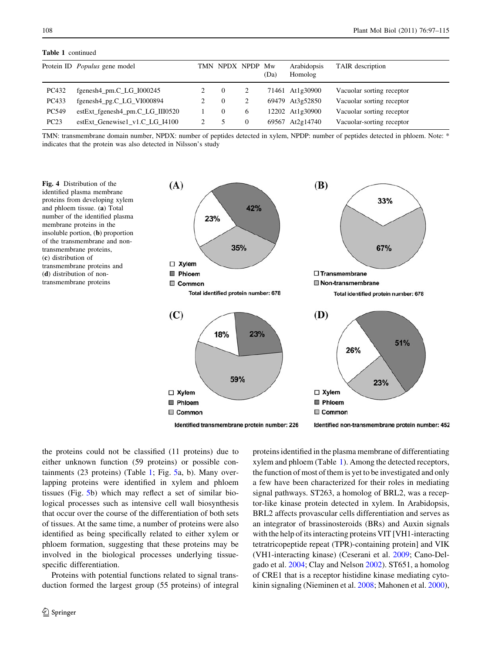<span id="page-11-0"></span>

|       | Protein ID <i>Populus</i> gene model | TMN NPDX NPDP |   | Mw<br>(Da) | Arabidopsis<br>Homolog | TAIR description          |
|-------|--------------------------------------|---------------|---|------------|------------------------|---------------------------|
| PC432 | $fgenesh4\_pm.C_LG_1000245$          |               |   |            | 71461 At1g30900        | Vacuolar sorting receptor |
| PC433 | fgenesh4_pg.C_LG_VI000894            | 0             |   |            | 69479 At3g52850        | Vacuolar sorting receptor |
| PC549 | estExt_fgenesh4_pm.C_LG_III0520      | 0             | 6 |            | 12202 At1g30900        | Vacuolar sorting receptor |
| PC23  | estExt_Genewise1_v1.C_LG_I4100       |               |   |            | 69567 At2g14740        | Vacuolar-sorting receptor |

TMN: transmembrane domain number, NPDX: number of peptides detected in xylem, NPDP: number of peptides detected in phloem. Note: \* indicates that the protein was also detected in Nilsson's study

Fig. 4 Distribution of the identified plasma membrane proteins from developing xylem and phloem tissue. (a) Total number of the identified plasma membrane proteins in the insoluble portion, (b) proportion of the transmembrane and nontransmembrane proteins, (c) distribution of transmembrane proteins and (d) distribution of nontransmembrane proteins



Identified transmembrane protein number: 226

Identified non-transmembrane protein number: 452

the proteins could not be classified (11 proteins) due to either unknown function (59 proteins) or possible containments (23 proteins) (Table [1;](#page-6-0) Fig. [5](#page-12-0)a, b). Many overlapping proteins were identified in xylem and phloem tissues (Fig. [5b](#page-12-0)) which may reflect a set of similar biological processes such as intensive cell wall biosynthesis that occur over the course of the differentiation of both sets of tissues. At the same time, a number of proteins were also identified as being specifically related to either xylem or phloem formation, suggesting that these proteins may be involved in the biological processes underlying tissuespecific differentiation.

Proteins with potential functions related to signal transduction formed the largest group (55 proteins) of integral proteins identified in the plasma membrane of differentiating xylem and phloem (Table [1\)](#page-6-0). Among the detected receptors, the function of most of them is yet to be investigated and only a few have been characterized for their roles in mediating signal pathways. ST263, a homolog of BRL2, was a receptor-like kinase protein detected in xylem. In Arabidopsis, BRL2 affects provascular cells differentiation and serves as an integrator of brassinosteroids (BRs) and Auxin signals with the help of its interacting proteins VIT [VH1-interacting tetratricopeptide repeat (TPR)-containing protein] and VIK (VH1-interacting kinase) (Ceserani et al. [2009;](#page-16-0) Cano-Delgado et al. [2004](#page-16-0); Clay and Nelson [2002\)](#page-16-0). ST651, a homolog of CRE1 that is a receptor histidine kinase mediating cytokinin signaling (Nieminen et al. [2008](#page-17-0); Mahonen et al. [2000](#page-17-0)),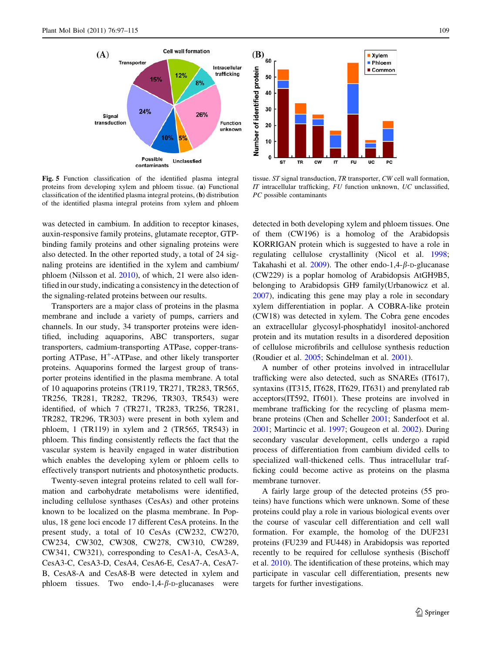<span id="page-12-0"></span>

 $(B)$ <sub>60</sub> **Xylem Phicem** Number of identified protein Common 50 40 30 20 10  $\mathbf{0}$ **CW** FU UC **ST TR**  $\mathsf{r}$ PC

Fig. 5 Function classification of the identified plasma integral proteins from developing xylem and phloem tissue. (a) Functional classification of the identified plasma integral proteins, (b) distribution of the identified plasma integral proteins from xylem and phloem

was detected in cambium. In addition to receptor kinases, auxin-responsive family proteins, glutamate receptor, GTPbinding family proteins and other signaling proteins were also detected. In the other reported study, a total of 24 signaling proteins are identified in the xylem and cambium/ phloem (Nilsson et al. [2010\)](#page-17-0), of which, 21 were also identified in our study, indicating a consistency in the detection of the signaling-related proteins between our results.

Transporters are a major class of proteins in the plasma membrane and include a variety of pumps, carriers and channels. In our study, 34 transporter proteins were identified, including aquaporins, ABC transporters, sugar transporters, cadmium-transporting ATPase, copper-transporting ATPase,  $H^+$ -ATPase, and other likely transporter proteins. Aquaporins formed the largest group of transporter proteins identified in the plasma membrane. A total of 10 aquaporins proteins (TR119, TR271, TR283, TR565, TR256, TR281, TR282, TR296, TR303, TR543) were identified, of which 7 (TR271, TR283, TR256, TR281, TR282, TR296, TR303) were present in both xylem and phloem, 1 (TR119) in xylem and 2 (TR565, TR543) in phloem. This finding consistently reflects the fact that the vascular system is heavily engaged in water distribution which enables the developing xylem or phloem cells to effectively transport nutrients and photosynthetic products.

Twenty-seven integral proteins related to cell wall formation and carbohydrate metabolisms were identified, including cellulose synthases (CesAs) and other proteins known to be localized on the plasma membrane. In Populus, 18 gene loci encode 17 different CesA proteins. In the present study, a total of 10 CesAs (CW232, CW270, CW234, CW302, CW308, CW278, CW310, CW289, CW341, CW321), corresponding to CesA1-A, CesA3-A, CesA3-C, CesA3-D, CesA4, CesA6-E, CesA7-A, CesA7- B, CesA8-A and CesA8-B were detected in xylem and phloem tissues. Two endo-1,4- $\beta$ -D-glucanases were

tissue. ST signal transduction, TR transporter, CW cell wall formation, IT intracellular trafficking, FU function unknown, UC unclassified, PC possible contaminants

detected in both developing xylem and phloem tissues. One of them (CW196) is a homolog of the Arabidopsis KORRIGAN protein which is suggested to have a role in regulating cellulose crystallinity (Nicol et al. [1998](#page-17-0); Takahashi et al.  $2009$ ). The other endo-1,4- $\beta$ -D-glucanase (CW229) is a poplar homolog of Arabidopsis AtGH9B5, belonging to Arabidopsis GH9 family(Urbanowicz et al. [2007](#page-18-0)), indicating this gene may play a role in secondary xylem differentiation in poplar. A COBRA-like protein (CW18) was detected in xylem. The Cobra gene encodes an extracellular glycosyl-phosphatidyl inositol-anchored protein and its mutation results in a disordered deposition of cellulose microfibrils and cellulose synthesis reduction (Roudier et al. [2005;](#page-17-0) Schindelman et al. [2001](#page-18-0)).

A number of other proteins involved in intracellular trafficking were also detected, such as SNAREs (IT617), syntaxins (IT315, IT628, IT629, IT631) and prenylated rab acceptors(IT592, IT601). These proteins are involved in membrane trafficking for the recycling of plasma membrane proteins (Chen and Scheller [2001;](#page-16-0) Sanderfoot et al. [2001](#page-18-0); Martincic et al. [1997;](#page-17-0) Gougeon et al. [2002\)](#page-17-0). During secondary vascular development, cells undergo a rapid process of differentiation from cambium divided cells to specialized wall-thickened cells. Thus intracellular trafficking could become active as proteins on the plasma membrane turnover.

A fairly large group of the detected proteins (55 proteins) have functions which were unknown. Some of these proteins could play a role in various biological events over the course of vascular cell differentiation and cell wall formation. For example, the homolog of the DUF231 proteins (FU239 and FU448) in Arabidopsis was reported recently to be required for cellulose synthesis (Bischoff et al. [2010\)](#page-16-0). The identification of these proteins, which may participate in vascular cell differentiation, presents new targets for further investigations.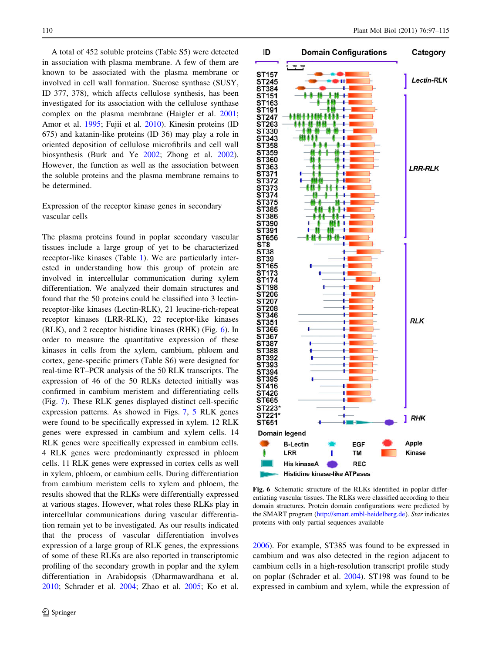A total of 452 soluble proteins (Table S5) were detected in association with plasma membrane. A few of them are known to be associated with the plasma membrane or involved in cell wall formation. Sucrose synthase (SUSY, ID 377, 378), which affects cellulose synthesis, has been investigated for its association with the cellulose synthase complex on the plasma membrane (Haigler et al. [2001](#page-17-0); Amor et al. [1995](#page-16-0); Fujii et al. [2010](#page-17-0)). Kinesin proteins (ID 675) and katanin-like proteins (ID 36) may play a role in oriented deposition of cellulose microfibrils and cell wall biosynthesis (Burk and Ye [2002;](#page-16-0) Zhong et al. [2002](#page-18-0)). However, the function as well as the association between the soluble proteins and the plasma membrane remains to be determined.

# Expression of the receptor kinase genes in secondary vascular cells

The plasma proteins found in poplar secondary vascular tissues include a large group of yet to be characterized receptor-like kinases (Table [1\)](#page-6-0). We are particularly interested in understanding how this group of protein are involved in intercellular communication during xylem differentiation. We analyzed their domain structures and found that the 50 proteins could be classified into 3 lectinreceptor-like kinases (Lectin-RLK), 21 leucine-rich-repeat receptor kinases (LRR-RLK), 22 receptor-like kinases (RLK), and 2 receptor histidine kinases (RHK) (Fig. 6). In order to measure the quantitative expression of these kinases in cells from the xylem, cambium, phloem and cortex, gene-specific primers (Table S6) were designed for real-time RT–PCR analysis of the 50 RLK transcripts. The expression of 46 of the 50 RLKs detected initially was confirmed in cambium meristem and differentiating cells (Fig. [7](#page-14-0)). These RLK genes displayed distinct cell-specific expression patterns. As showed in Figs. [7](#page-14-0), [5](#page-12-0) RLK genes were found to be specifically expressed in xylem. 12 RLK genes were expressed in cambium and xylem cells. 14 RLK genes were specifically expressed in cambium cells. 4 RLK genes were predominantly expressed in phloem cells. 11 RLK genes were expressed in cortex cells as well in xylem, phloem, or cambium cells. During differentiation from cambium meristem cells to xylem and phloem, the results showed that the RLKs were differentially expressed at various stages. However, what roles these RLKs play in intercellular communications during vascular differentiation remain yet to be investigated. As our results indicated that the process of vascular differentiation involves expression of a large group of RLK genes, the expressions of some of these RLKs are also reported in transcriptomic profiling of the secondary growth in poplar and the xylem differentiation in Arabidopsis (Dharmawardhana et al. [2010;](#page-17-0) Schrader et al. [2004;](#page-18-0) Zhao et al. [2005](#page-18-0); Ko et al.



Fig. 6 Schematic structure of the RLKs identified in poplar differentiating vascular tissues. The RLKs were classified according to their domain structures. Protein domain configurations were predicted by the SMART program [\(http://smart.embl-heidelberg.de\)](http://smart.embl-heidelberg.de). Star indicates proteins with only partial sequences available

[2006](#page-17-0)). For example, ST385 was found to be expressed in cambium and was also detected in the region adjacent to cambium cells in a high-resolution transcript profile study on poplar (Schrader et al. [2004\)](#page-18-0). ST198 was found to be expressed in cambium and xylem, while the expression of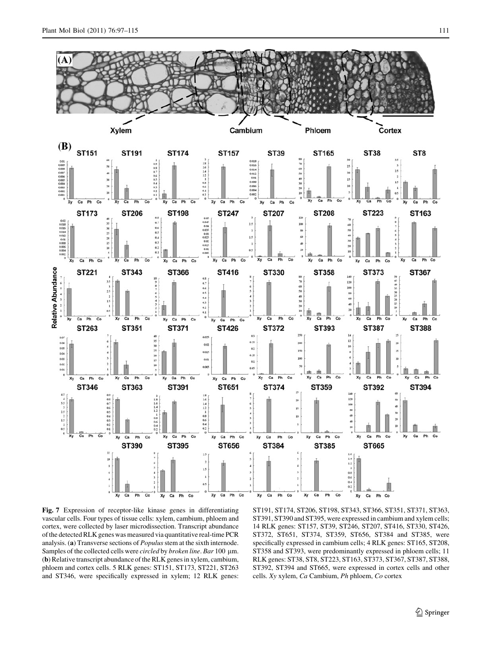<span id="page-14-0"></span>

Fig. 7 Expression of receptor-like kinase genes in differentiating vascular cells. Four types of tissue cells: xylem, cambium, phloem and cortex, were collected by laser microdissection. Transcript abundance of the detected RLK genes was measured via quantitative real-time PCR analysis. (a) Transverse sections of Populus stem at the sixth internode. Samples of the collected cells were *circled* by *broken line*. Bar 100 µm. (b) Relative transcript abundance of the RLK genes in xylem, cambium, phloem and cortex cells. 5 RLK genes: ST151, ST173, ST221, ST263 and ST346, were specifically expressed in xylem; 12 RLK genes:

ST191, ST174, ST206, ST198, ST343, ST366, ST351, ST371, ST363, ST391, ST390 and ST395, were expressed in cambium and xylem cells; 14 RLK genes: ST157, ST39, ST246, ST207, ST416, ST330, ST426, ST372, ST651, ST374, ST359, ST656, ST384 and ST385, were specifically expressed in cambium cells; 4 RLK genes: ST165, ST208, ST358 and ST393, were predominantly expressed in phloem cells; 11 RLK genes: ST38, ST8, ST223, ST163, ST373, ST367, ST387, ST388, ST392, ST394 and ST665, were expressed in cortex cells and other cells. Xy xylem, Ca Cambium, Ph phloem, Co cortex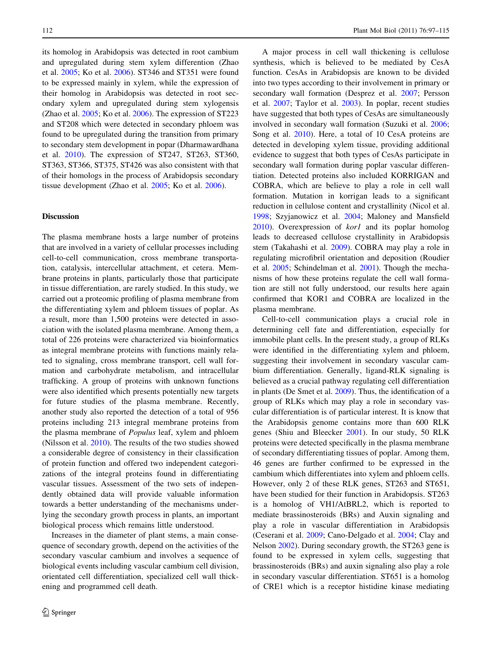its homolog in Arabidopsis was detected in root cambium and upregulated during stem xylem differention (Zhao et al. [2005;](#page-18-0) Ko et al. [2006\)](#page-17-0). ST346 and ST351 were found to be expressed mainly in xylem, while the expression of their homolog in Arabidopsis was detected in root secondary xylem and upregulated during stem xylogensis (Zhao et al. [2005](#page-18-0); Ko et al. [2006\)](#page-17-0). The expression of ST223 and ST208 which were detected in secondary phloem was found to be upregulated during the transition from primary to secondary stem development in popar (Dharmawardhana et al. [2010](#page-17-0)). The expression of ST247, ST263, ST360, ST363, ST366, ST375, ST426 was also consistent with that of their homologs in the process of Arabidopsis secondary tissue development (Zhao et al. [2005](#page-18-0); Ko et al. [2006](#page-17-0)).

#### **Discussion**

The plasma membrane hosts a large number of proteins that are involved in a variety of cellular processes including cell-to-cell communication, cross membrane transportation, catalysis, intercellular attachment, et cetera. Membrane proteins in plants, particularly those that participate in tissue differentiation, are rarely studied. In this study, we carried out a proteomic profiling of plasma membrane from the differentiating xylem and phloem tissues of poplar. As a result, more than 1,500 proteins were detected in association with the isolated plasma membrane. Among them, a total of 226 proteins were characterized via bioinformatics as integral membrane proteins with functions mainly related to signaling, cross membrane transport, cell wall formation and carbohydrate metabolism, and intracellular trafficking. A group of proteins with unknown functions were also identified which presents potentially new targets for future studies of the plasma membrane. Recently, another study also reported the detection of a total of 956 proteins including 213 integral membrane proteins from the plasma membrane of Populus leaf, xylem and phloem (Nilsson et al. [2010\)](#page-17-0). The results of the two studies showed a considerable degree of consistency in their classification of protein function and offered two independent categorizations of the integral proteins found in differentiating vascular tissues. Assessment of the two sets of independently obtained data will provide valuable information towards a better understanding of the mechanisms underlying the secondary growth process in plants, an important biological process which remains little understood.

Increases in the diameter of plant stems, a main consequence of secondary growth, depend on the activities of the secondary vascular cambium and involves a sequence of biological events including vascular cambium cell division, orientated cell differentiation, specialized cell wall thickening and programmed cell death.

A major process in cell wall thickening is cellulose synthesis, which is believed to be mediated by CesA function. CesAs in Arabidopsis are known to be divided into two types according to their involvement in primary or secondary wall formation (Desprez et al. [2007;](#page-17-0) Persson et al. [2007](#page-17-0); Taylor et al. [2003\)](#page-18-0). In poplar, recent studies have suggested that both types of CesAs are simultaneously involved in secondary wall formation (Suzuki et al. [2006](#page-18-0); Song et al. [2010](#page-18-0)). Here, a total of 10 CesA proteins are detected in developing xylem tissue, providing additional evidence to suggest that both types of CesAs participate in secondary wall formation during poplar vascular differentiation. Detected proteins also included KORRIGAN and COBRA, which are believe to play a role in cell wall formation. Mutation in korrigan leads to a significant reduction in cellulose content and crystallinity (Nicol et al. [1998](#page-17-0); Szyjanowicz et al. [2004;](#page-18-0) Maloney and Mansfield [2010](#page-17-0)). Overexpression of kor1 and its poplar homolog leads to decreased cellulose crystallinity in Arabidopsis stem (Takahashi et al. [2009\)](#page-18-0). COBRA may play a role in regulating microfibril orientation and deposition (Roudier et al. [2005;](#page-17-0) Schindelman et al. [2001](#page-18-0)). Though the mechanisms of how these proteins regulate the cell wall formation are still not fully understood, our results here again confirmed that KOR1 and COBRA are localized in the plasma membrane.

Cell-to-cell communication plays a crucial role in determining cell fate and differentiation, especially for immobile plant cells. In the present study, a group of RLKs were identified in the differentiating xylem and phloem, suggesting their involvement in secondary vascular cambium differentiation. Generally, ligand-RLK signaling is believed as a crucial pathway regulating cell differentiation in plants (De Smet et al. [2009](#page-16-0)). Thus, the identification of a group of RLKs which may play a role in secondary vascular differentiation is of particular interest. It is know that the Arabidopsis genome contains more than 600 RLK genes (Shiu and Bleecker [2001](#page-18-0)). In our study, 50 RLK proteins were detected specifically in the plasma membrane of secondary differentiating tissues of poplar. Among them, 46 genes are further confirmed to be expressed in the cambium which differentiates into xylem and phloem cells. However, only 2 of these RLK genes, ST263 and ST651, have been studied for their function in Arabidopsis. ST263 is a homolog of VH1/AtBRL2, which is reported to mediate brassinosteroids (BRs) and Auxin signaling and play a role in vascular differentiation in Arabidopsis (Ceserani et al. [2009](#page-16-0); Cano-Delgado et al. [2004;](#page-16-0) Clay and Nelson [2002\)](#page-16-0). During secondary growth, the ST263 gene is found to be expressed in xylem cells, suggesting that brassinosteroids (BRs) and auxin signaling also play a role in secondary vascular differentiation. ST651 is a homolog of CRE1 which is a receptor histidine kinase mediating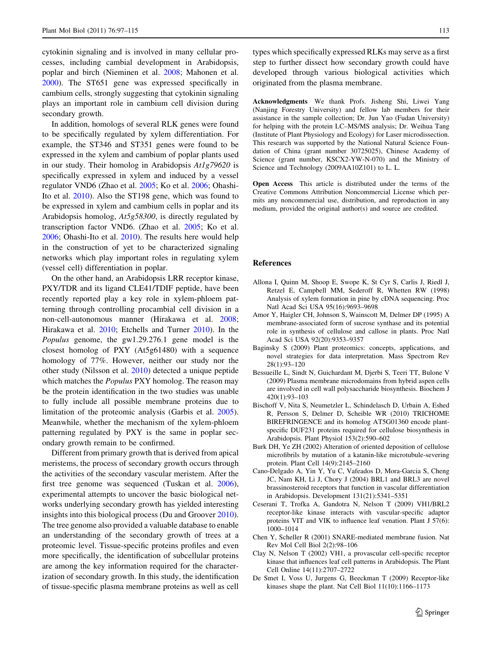<span id="page-16-0"></span>cytokinin signaling and is involved in many cellular processes, including cambial development in Arabidopsis, poplar and birch (Nieminen et al. [2008](#page-17-0); Mahonen et al. [2000\)](#page-17-0). The ST651 gene was expressed specifically in cambium cells, strongly suggesting that cytokinin signaling plays an important role in cambium cell division during secondary growth.

In addition, homologs of several RLK genes were found to be specifically regulated by xylem differentiation. For example, the ST346 and ST351 genes were found to be expressed in the xylem and cambium of poplar plants used in our study. Their homolog in Arabidopsis At1g79620 is specifically expressed in xylem and induced by a vessel regulator VND6 (Zhao et al. [2005;](#page-18-0) Ko et al. [2006;](#page-17-0) Ohashi-Ito et al. [2010](#page-17-0)). Also the ST198 gene, which was found to be expressed in xylem and cambium cells in poplar and its Arabidopsis homolog, At5g58300, is directly regulated by transcription factor VND6. (Zhao et al. [2005](#page-18-0); Ko et al. [2006;](#page-17-0) Ohashi-Ito et al. [2010](#page-17-0)). The results here would help in the construction of yet to be characterized signaling networks which play important roles in regulating xylem (vessel cell) differentiation in poplar.

On the other hand, an Arabidopsis LRR receptor kinase, PXY/TDR and its ligand CLE41/TDIF peptide, have been recently reported play a key role in xylem-phloem patterning through controlling procambial cell division in a non-cell-autonomous manner (Hirakawa et al. [2008](#page-17-0); Hirakawa et al. [2010;](#page-17-0) Etchells and Turner [2010](#page-17-0)). In the Populus genome, the gw1.29.276.1 gene model is the closest homolog of PXY (At5g61480) with a sequence homology of 77%. However, neither our study nor the other study (Nilsson et al. [2010](#page-17-0)) detected a unique peptide which matches the *Populus* PXY homolog. The reason may be the protein identification in the two studies was unable to fully include all possible membrane proteins due to limitation of the proteomic analysis (Garbis et al. [2005](#page-17-0)). Meanwhile, whether the mechanism of the xylem-phloem patterning regulated by PXY is the same in poplar secondary growth remain to be confirmed.

Different from primary growth that is derived from apical meristems, the process of secondary growth occurs through the activities of the secondary vascular meristem. After the first tree genome was sequenced (Tuskan et al. [2006](#page-18-0)), experimental attempts to uncover the basic biological networks underlying secondary growth has yielded interesting insights into this biological process (Du and Groover [2010](#page-17-0)). The tree genome also provided a valuable database to enable an understanding of the secondary growth of trees at a proteomic level. Tissue-specific proteins profiles and even more specifically, the identification of subcellular proteins are among the key information required for the characterization of secondary growth. In this study, the identification of tissue-specific plasma membrane proteins as well as cell types which specifically expressed RLKs may serve as a first step to further dissect how secondary growth could have developed through various biological activities which originated from the plasma membrane.

Acknowledgments We thank Profs. Jisheng Shi, Liwei Yang (Nanjing Forestry University) and fellow lab members for their assistance in the sample collection; Dr. Jun Yao (Fudan University) for helping with the protein LC–MS/MS analysis; Dr. Weihua Tang (Institute of Plant Physiology and Ecology) for Laser microdissection. This research was supported by the National Natural Science Foundation of China (grant number 30725025), Chinese Academy of Science (grant number, KSCX2-YW-N-070) and the Ministry of Science and Technology (2009AA10Z101) to L. L.

Open Access This article is distributed under the terms of the Creative Commons Attribution Noncommercial License which permits any noncommercial use, distribution, and reproduction in any medium, provided the original author(s) and source are credited.

#### References

- Allona I, Quinn M, Shoop E, Swope K, St Cyr S, Carlis J, Riedl J, Retzel E, Campbell MM, Sederoff R, Whetten RW (1998) Analysis of xylem formation in pine by cDNA sequencing. Proc Natl Acad Sci USA 95(16):9693–9698
- Amor Y, Haigler CH, Johnson S, Wainscott M, Delmer DP (1995) A membrane-associated form of sucrose synthase and its potential role in synthesis of cellulose and callose in plants. Proc Natl Acad Sci USA 92(20):9353–9357
- Baginsky S (2009) Plant proteomics: concepts, applications, and novel strategies for data interpretation. Mass Spectrom Rev 28(1):93–120
- Bessueille L, Sindt N, Guichardant M, Djerbi S, Teeri TT, Bulone V (2009) Plasma membrane microdomains from hybrid aspen cells are involved in cell wall polysaccharide biosynthesis. Biochem J 420(1):93–103
- Bischoff V, Nita S, Neumetzler L, Schindelasch D, Urbain A, Eshed R, Persson S, Delmer D, Scheible WR (2010) TRICHOME BIREFRINGENCE and its homolog AT5G01360 encode plantspecific DUF231 proteins required for cellulose biosynthesis in Arabidopsis. Plant Physiol 153(2):590–602
- Burk DH, Ye ZH (2002) Alteration of oriented deposition of cellulose microfibrils by mutation of a katanin-like microtubule-severing protein. Plant Cell 14(9):2145–2160
- Cano-Delgado A, Yin Y, Yu C, Vafeados D, Mora-Garcia S, Cheng JC, Nam KH, Li J, Chory J (2004) BRL1 and BRL3 are novel brassinosteroid receptors that function in vascular differentiation in Arabidopsis. Development 131(21):5341–5351
- Ceserani T, Trofka A, Gandotra N, Nelson T (2009) VH1/BRL2 receptor-like kinase interacts with vascular-specific adaptor proteins VIT and VIK to influence leaf venation. Plant J 57(6): 1000–1014
- Chen Y, Scheller R (2001) SNARE-mediated membrane fusion. Nat Rev Mol Cell Biol 2(2):98–106
- Clay N, Nelson T (2002) VH1, a provascular cell-specific receptor kinase that influences leaf cell patterns in Arabidopsis. The Plant Cell Online 14(11):2707–2722
- De Smet I, Voss U, Jurgens G, Beeckman T (2009) Receptor-like kinases shape the plant. Nat Cell Biol 11(10):1166–1173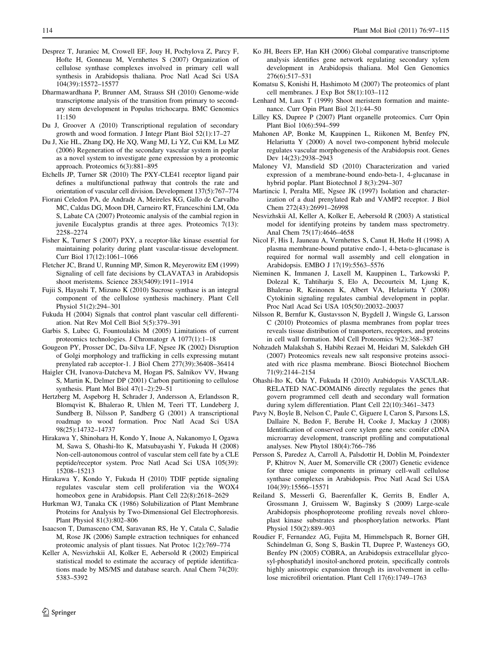- <span id="page-17-0"></span>Desprez T, Juraniec M, Crowell EF, Jouy H, Pochylova Z, Parcy F, Hofte H, Gonneau M, Vernhettes S (2007) Organization of cellulose synthase complexes involved in primary cell wall synthesis in Arabidopsis thaliana. Proc Natl Acad Sci USA 104(39):15572–15577
- Dharmawardhana P, Brunner AM, Strauss SH (2010) Genome-wide transcriptome analysis of the transition from primary to secondary stem development in Populus trichocarpa. BMC Genomics 11:150
- Du J, Groover A (2010) Transcriptional regulation of secondary growth and wood formation. J Integr Plant Biol 52(1):17–27
- Du J, Xie HL, Zhang DQ, He XQ, Wang MJ, Li YZ, Cui KM, Lu MZ (2006) Regeneration of the secondary vascular system in poplar as a novel system to investigate gene expression by a proteomic approach. Proteomics 6(3):881–895
- Etchells JP, Turner SR (2010) The PXY-CLE41 receptor ligand pair defines a multifunctional pathway that controls the rate and orientation of vascular cell division. Development 137(5):767–774
- Fiorani Celedon PA, de Andrade A, Meireles KG, Gallo de Carvalho MC, Caldas DG, Moon DH, Carneiro RT, Franceschini LM, Oda S, Labate CA (2007) Proteomic analysis of the cambial region in juvenile Eucalyptus grandis at three ages. Proteomics 7(13): 2258–2274
- Fisher K, Turner S (2007) PXY, a receptor-like kinase essential for maintaining polarity during plant vascular-tissue development. Curr Biol 17(12):1061–1066
- Fletcher JC, Brand U, Running MP, Simon R, Meyerowitz EM (1999) Signaling of cell fate decisions by CLAVATA3 in Arabidopsis shoot meristems. Science 283(5409):1911–1914
- Fujii S, Hayashi T, Mizuno K (2010) Sucrose synthase is an integral component of the cellulose synthesis machinery. Plant Cell Physiol 51(2):294–301
- Fukuda H (2004) Signals that control plant vascular cell differentiation. Nat Rev Mol Cell Biol 5(5):379–391
- Garbis S, Lubec G, Fountoulakis M (2005) Limitations of current proteomics technologies. J Chromatogr A 1077(1):1–18
- Gougeon PY, Prosser DC, Da-Silva LF, Ngsee JK (2002) Disruption of Golgi morphology and trafficking in cells expressing mutant prenylated rab acceptor-1. J Biol Chem 277(39):36408–36414
- Haigler CH, Ivanova-Datcheva M, Hogan PS, Salnikov VV, Hwang S, Martin K, Delmer DP (2001) Carbon partitioning to cellulose synthesis. Plant Mol Biol 47(1–2):29–51
- Hertzberg M, Aspeborg H, Schrader J, Andersson A, Erlandsson R, Blomqvist K, Bhalerao R, Uhlen M, Teeri TT, Lundeberg J, Sundberg B, Nilsson P, Sandberg G (2001) A transcriptional roadmap to wood formation. Proc Natl Acad Sci USA 98(25):14732–14737
- Hirakawa Y, Shinohara H, Kondo Y, Inoue A, Nakanomyo I, Ogawa M, Sawa S, Ohashi-Ito K, Matsubayashi Y, Fukuda H (2008) Non-cell-autonomous control of vascular stem cell fate by a CLE peptide/receptor system. Proc Natl Acad Sci USA 105(39): 15208–15213
- Hirakawa Y, Kondo Y, Fukuda H (2010) TDIF peptide signaling regulates vascular stem cell proliferation via the WOX4 homeobox gene in Arabidopsis. Plant Cell 22(8):2618–2629
- Hurkman WJ, Tanaka CK (1986) Solubilization of Plant Membrane Proteins for Analysis by Two-Dimensional Gel Electrophoresis. Plant Physiol 81(3):802–806
- Isaacson T, Damasceno CM, Saravanan RS, He Y, Catala C, Saladie M, Rose JK (2006) Sample extraction techniques for enhanced proteomic analysis of plant tissues. Nat Protoc 1(2):769–774
- Keller A, Nesvizhskii AI, Kolker E, Aebersold R (2002) Empirical statistical model to estimate the accuracy of peptide identifications made by MS/MS and database search. Anal Chem 74(20): 5383–5392
- Ko JH, Beers EP, Han KH (2006) Global comparative transcriptome analysis identifies gene network regulating secondary xylem development in Arabidopsis thaliana. Mol Gen Genomics 276(6):517–531
- Komatsu S, Konishi H, Hashimoto M (2007) The proteomics of plant cell membranes. J Exp Bot 58(1):103–112
- Lenhard M, Laux T (1999) Shoot meristem formation and maintenance. Curr Opin Plant Biol 2(1):44–50
- Lilley KS, Dupree P (2007) Plant organelle proteomics. Curr Opin Plant Biol 10(6):594–599
- Mahonen AP, Bonke M, Kauppinen L, Riikonen M, Benfey PN, Helariutta Y (2000) A novel two-component hybrid molecule regulates vascular morphogenesis of the Arabidopsis root. Genes Dev 14(23):2938–2943
- Maloney VJ, Mansfield SD (2010) Characterization and varied expression of a membrane-bound endo-beta-1, 4-glucanase in hybrid poplar. Plant Biotechnol J 8(3):294–307
- Martincic I, Peralta ME, Ngsee JK (1997) Isolation and characterization of a dual prenylated Rab and VAMP2 receptor. J Biol Chem 272(43):26991–26998
- Nesvizhskii AI, Keller A, Kolker E, Aebersold R (2003) A statistical model for identifying proteins by tandem mass spectrometry. Anal Chem 75(17):4646–4658
- Nicol F, His I, Jauneau A, Vernhettes S, Canut H, Hofte H (1998) A plasma membrane-bound putative endo-1, 4-beta-D-glucanase is required for normal wall assembly and cell elongation in Arabidopsis. EMBO J 17(19):5563–5576
- Nieminen K, Immanen J, Laxell M, Kauppinen L, Tarkowski P, Dolezal K, Tahtiharju S, Elo A, Decourteix M, Ljung K, Bhalerao R, Keinonen K, Albert VA, Helariutta Y (2008) Cytokinin signaling regulates cambial development in poplar. Proc Natl Acad Sci USA 105(50):20032–20037
- Nilsson R, Bernfur K, Gustavsson N, Bygdell J, Wingsle G, Larsson C (2010) Proteomics of plasma membranes from poplar trees reveals tissue distribution of transporters, receptors, and proteins in cell wall formation. Mol Cell Proteomics 9(2):368–387
- Nohzadeh Malakshah S, Habibi Rezaei M, Heidari M, Salekdeh GH (2007) Proteomics reveals new salt responsive proteins associated with rice plasma membrane. Biosci Biotechnol Biochem 71(9):2144–2154
- Ohashi-Ito K, Oda Y, Fukuda H (2010) Arabidopsis VASCULAR-RELATED NAC-DOMAIN6 directly regulates the genes that govern programmed cell death and secondary wall formation during xylem differentiation. Plant Cell 22(10):3461–3473
- Pavy N, Boyle B, Nelson C, Paule C, Giguere I, Caron S, Parsons LS, Dallaire N, Bedon F, Berube H, Cooke J, Mackay J (2008) Identification of conserved core xylem gene sets: conifer cDNA microarray development, transcript profiling and computational analyses. New Phytol 180(4):766–786
- Persson S, Paredez A, Carroll A, Palsdottir H, Doblin M, Poindexter P, Khitrov N, Auer M, Somerville CR (2007) Genetic evidence for three unique components in primary cell-wall cellulose synthase complexes in Arabidopsis. Proc Natl Acad Sci USA 104(39):15566–15571
- Reiland S, Messerli G, Baerenfaller K, Gerrits B, Endler A, Grossmann J, Gruissem W, Baginsky S (2009) Large-scale Arabidopsis phosphoproteome profiling reveals novel chloroplast kinase substrates and phosphorylation networks. Plant Physiol 150(2):889–903
- Roudier F, Fernandez AG, Fujita M, Himmelspach R, Borner GH, Schindelman G, Song S, Baskin TI, Dupree P, Wasteneys GO, Benfey PN (2005) COBRA, an Arabidopsis extracellular glycosyl-phosphatidyl inositol-anchored protein, specifically controls highly anisotropic expansion through its involvement in cellulose microfibril orientation. Plant Cell 17(6):1749–1763